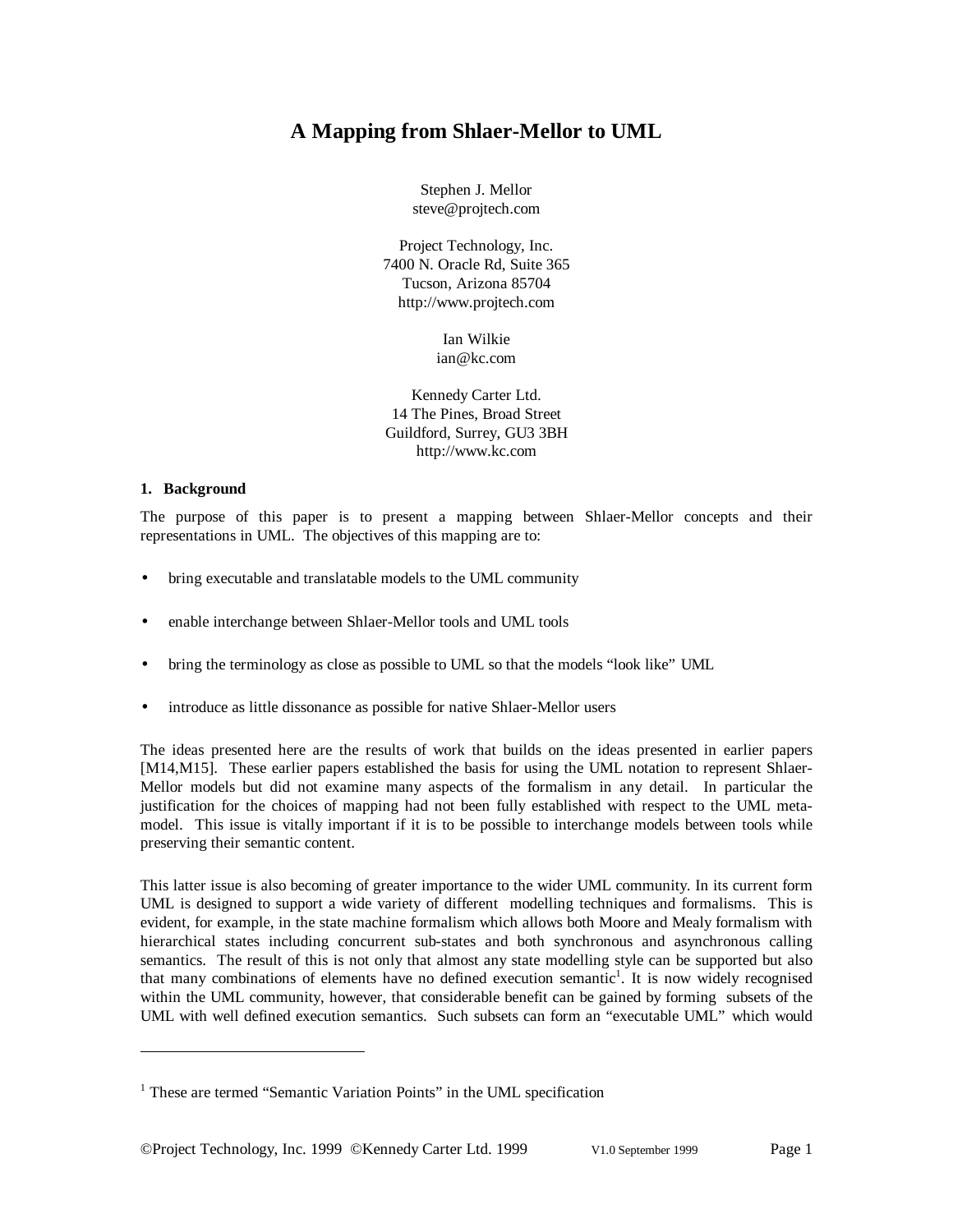# **A Mapping from Shlaer-Mellor to UML**

Stephen J. Mellor steve@projtech.com

Project Technology, Inc. 7400 N. Oracle Rd, Suite 365 Tucson, Arizona 85704 http://www.projtech.com

> Ian Wilkie ian@kc.com

Kennedy Carter Ltd. 14 The Pines, Broad Street Guildford, Surrey, GU3 3BH http://www.kc.com

#### **1. Background**

-

The purpose of this paper is to present a mapping between Shlaer-Mellor concepts and their representations in UML. The objectives of this mapping are to:

- bring executable and translatable models to the UML community
- enable interchange between Shlaer-Mellor tools and UML tools
- bring the terminology as close as possible to UML so that the models "look like" UML
- introduce as little dissonance as possible for native Shlaer-Mellor users

The ideas presented here are the results of work that builds on the ideas presented in earlier papers [M14,M15]. These earlier papers established the basis for using the UML notation to represent Shlaer-Mellor models but did not examine many aspects of the formalism in any detail. In particular the justification for the choices of mapping had not been fully established with respect to the UML metamodel. This issue is vitally important if it is to be possible to interchange models between tools while preserving their semantic content.

This latter issue is also becoming of greater importance to the wider UML community. In its current form UML is designed to support a wide variety of different modelling techniques and formalisms. This is evident, for example, in the state machine formalism which allows both Moore and Mealy formalism with hierarchical states including concurrent sub-states and both synchronous and asynchronous calling semantics. The result of this is not only that almost any state modelling style can be supported but also that many combinations of elements have no defined execution semantic<sup>1</sup>. It is now widely recognised within the UML community, however, that considerable benefit can be gained by forming subsets of the UML with well defined execution semantics. Such subsets can form an "executable UML" which would

<sup>&</sup>lt;sup>1</sup> These are termed "Semantic Variation Points" in the UML specification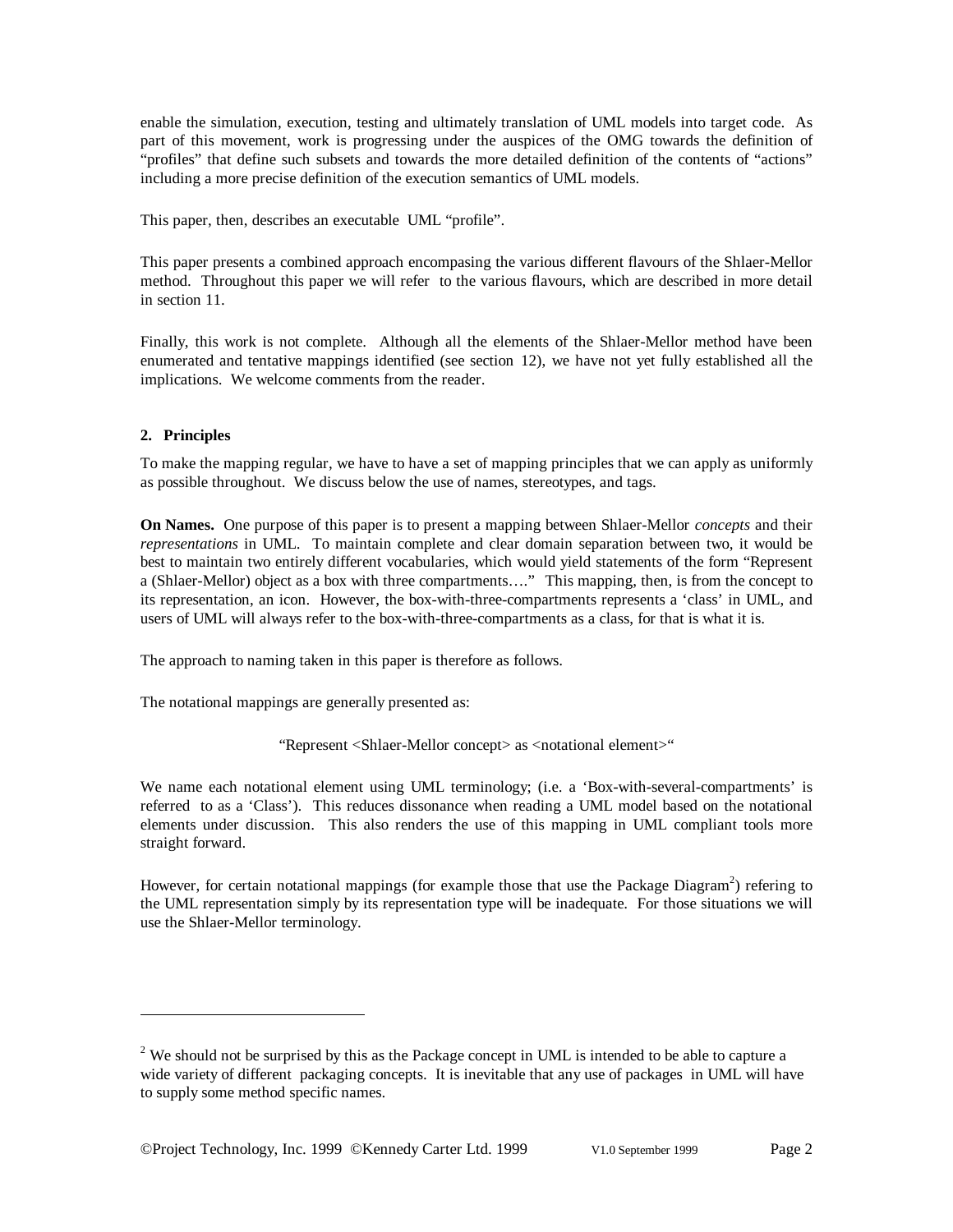enable the simulation, execution, testing and ultimately translation of UML models into target code. As part of this movement, work is progressing under the auspices of the OMG towards the definition of "profiles" that define such subsets and towards the more detailed definition of the contents of "actions" including a more precise definition of the execution semantics of UML models.

This paper, then, describes an executable UML "profile".

This paper presents a combined approach encompasing the various different flavours of the Shlaer-Mellor method. Throughout this paper we will refer to the various flavours, which are described in more detail in section 11.

Finally, this work is not complete. Although all the elements of the Shlaer-Mellor method have been enumerated and tentative mappings identified (see section 12), we have not yet fully established all the implications. We welcome comments from the reader.

### **2. Principles**

-

To make the mapping regular, we have to have a set of mapping principles that we can apply as uniformly as possible throughout. We discuss below the use of names, stereotypes, and tags.

**On Names.** One purpose of this paper is to present a mapping between Shlaer-Mellor *concepts* and their *representations* in UML. To maintain complete and clear domain separation between two, it would be best to maintain two entirely different vocabularies, which would yield statements of the form "Represent a (Shlaer-Mellor) object as a box with three compartments… ." This mapping, then, is from the concept to its representation, an icon. However, the box-with-three-compartments represents a 'class' in UML, and users of UML will always refer to the box-with-three-compartments as a class, for that is what it is.

The approach to naming taken in this paper is therefore as follows.

The notational mappings are generally presented as:

"Represent <Shlaer-Mellor concept> as <notational element>"

We name each notational element using UML terminology; (i.e. a 'Box-with-several-compartments' is referred to as a 'Class'). This reduces dissonance when reading a UML model based on the notational elements under discussion. This also renders the use of this mapping in UML compliant tools more straight forward.

However, for certain notational mappings (for example those that use the Package Diagram<sup>2</sup>) refering to the UML representation simply by its representation type will be inadequate. For those situations we will use the Shlaer-Mellor terminology.

 $2$  We should not be surprised by this as the Package concept in UML is intended to be able to capture a wide variety of different packaging concepts. It is inevitable that any use of packages in UML will have to supply some method specific names.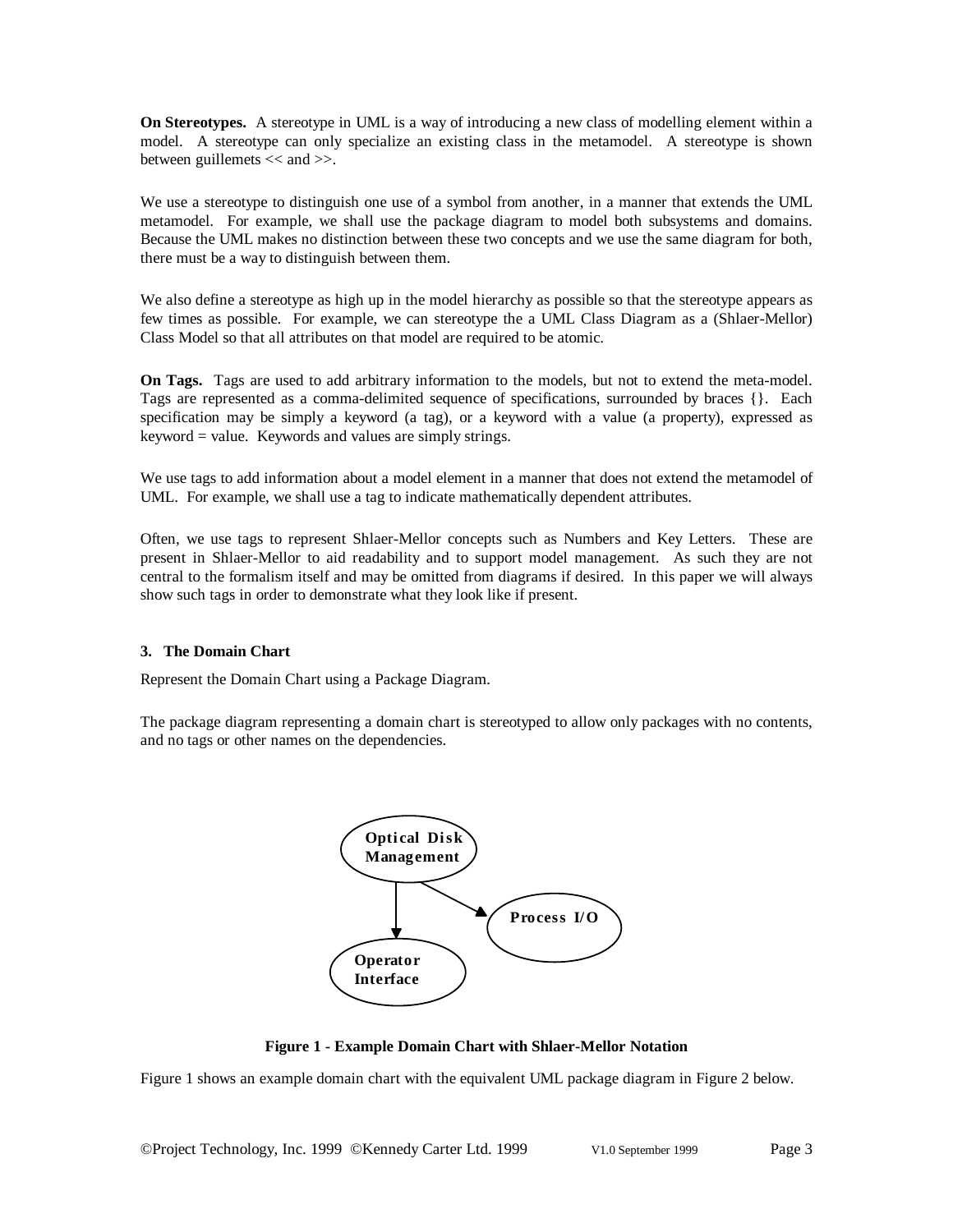**On Stereotypes.** A stereotype in UML is a way of introducing a new class of modelling element within a model. A stereotype can only specialize an existing class in the metamodel. A stereotype is shown between guillemets << and >>.

We use a stereotype to distinguish one use of a symbol from another, in a manner that extends the UML metamodel. For example, we shall use the package diagram to model both subsystems and domains. Because the UML makes no distinction between these two concepts and we use the same diagram for both, there must be a way to distinguish between them.

We also define a stereotype as high up in the model hierarchy as possible so that the stereotype appears as few times as possible. For example, we can stereotype the a UML Class Diagram as a (Shlaer-Mellor) Class Model so that all attributes on that model are required to be atomic.

**On Tags.** Tags are used to add arbitrary information to the models, but not to extend the meta-model. Tags are represented as a comma-delimited sequence of specifications, surrounded by braces {}. Each specification may be simply a keyword (a tag), or a keyword with a value (a property), expressed as keyword = value. Keywords and values are simply strings.

We use tags to add information about a model element in a manner that does not extend the metamodel of UML. For example, we shall use a tag to indicate mathematically dependent attributes.

Often, we use tags to represent Shlaer-Mellor concepts such as Numbers and Key Letters. These are present in Shlaer-Mellor to aid readability and to support model management. As such they are not central to the formalism itself and may be omitted from diagrams if desired. In this paper we will always show such tags in order to demonstrate what they look like if present.

#### **3. The Domain Chart**

Represent the Domain Chart using a Package Diagram.

The package diagram representing a domain chart is stereotyped to allow only packages with no contents, and no tags or other names on the dependencies.



**Figure 1 - Example Domain Chart with Shlaer-Mellor Notation**

Figure 1 shows an example domain chart with the equivalent UML package diagram in Figure 2 below.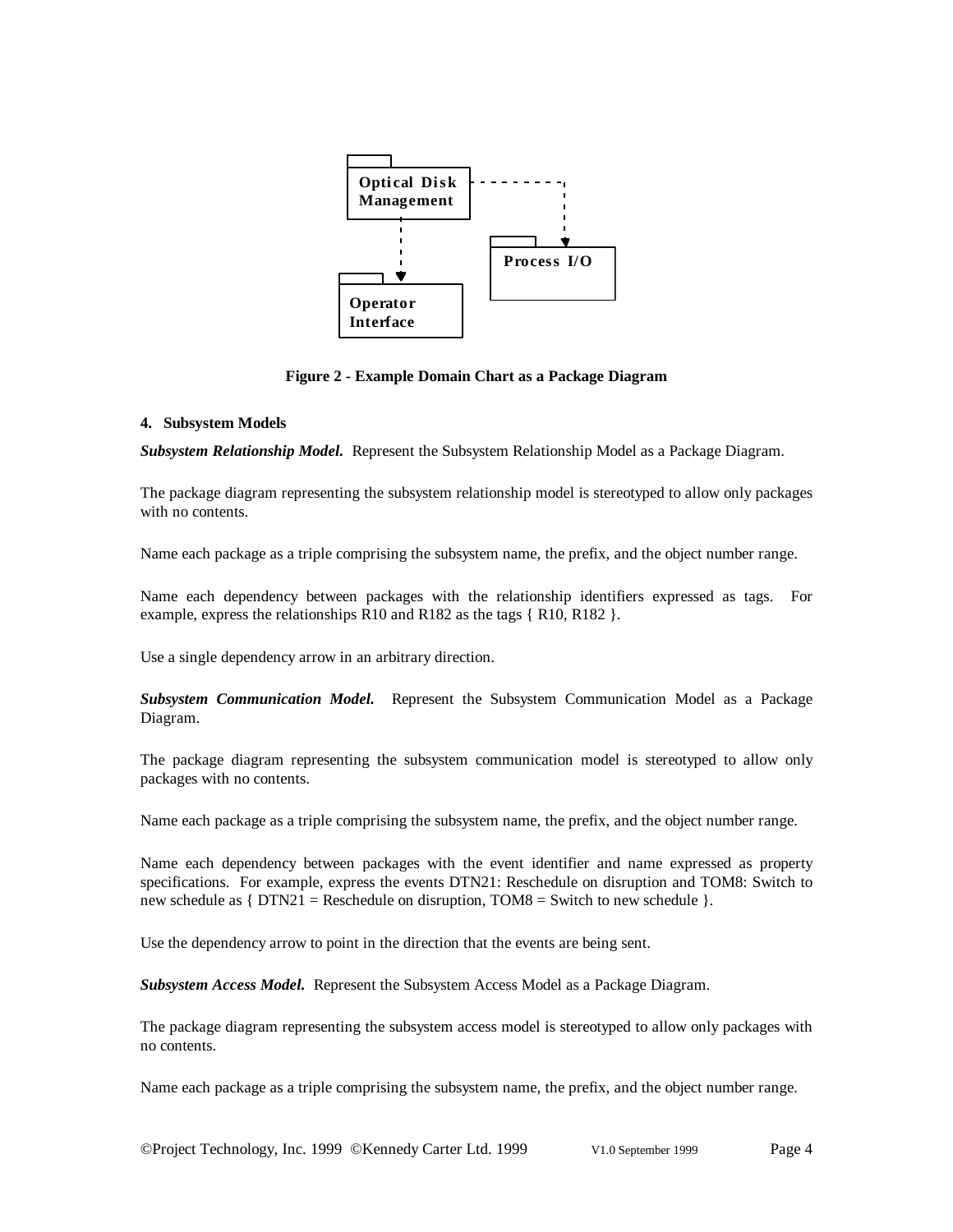

**Figure 2 - Example Domain Chart as a Package Diagram**

#### **4. Subsystem Models**

*Subsystem Relationship Model.* Represent the Subsystem Relationship Model as a Package Diagram.

The package diagram representing the subsystem relationship model is stereotyped to allow only packages with no contents.

Name each package as a triple comprising the subsystem name, the prefix, and the object number range.

Name each dependency between packages with the relationship identifiers expressed as tags. For example, express the relationships R10 and R182 as the tags { R10, R182 }.

Use a single dependency arrow in an arbitrary direction.

*Subsystem Communication Model.* Represent the Subsystem Communication Model as a Package Diagram.

The package diagram representing the subsystem communication model is stereotyped to allow only packages with no contents.

Name each package as a triple comprising the subsystem name, the prefix, and the object number range.

Name each dependency between packages with the event identifier and name expressed as property specifications. For example, express the events DTN21: Reschedule on disruption and TOM8: Switch to new schedule as  $\{ DTN21 = Reschedule$  on disruption, TOM8 = Switch to new schedule  $\}$ .

Use the dependency arrow to point in the direction that the events are being sent.

*Subsystem Access Model.* Represent the Subsystem Access Model as a Package Diagram.

The package diagram representing the subsystem access model is stereotyped to allow only packages with no contents.

Name each package as a triple comprising the subsystem name, the prefix, and the object number range.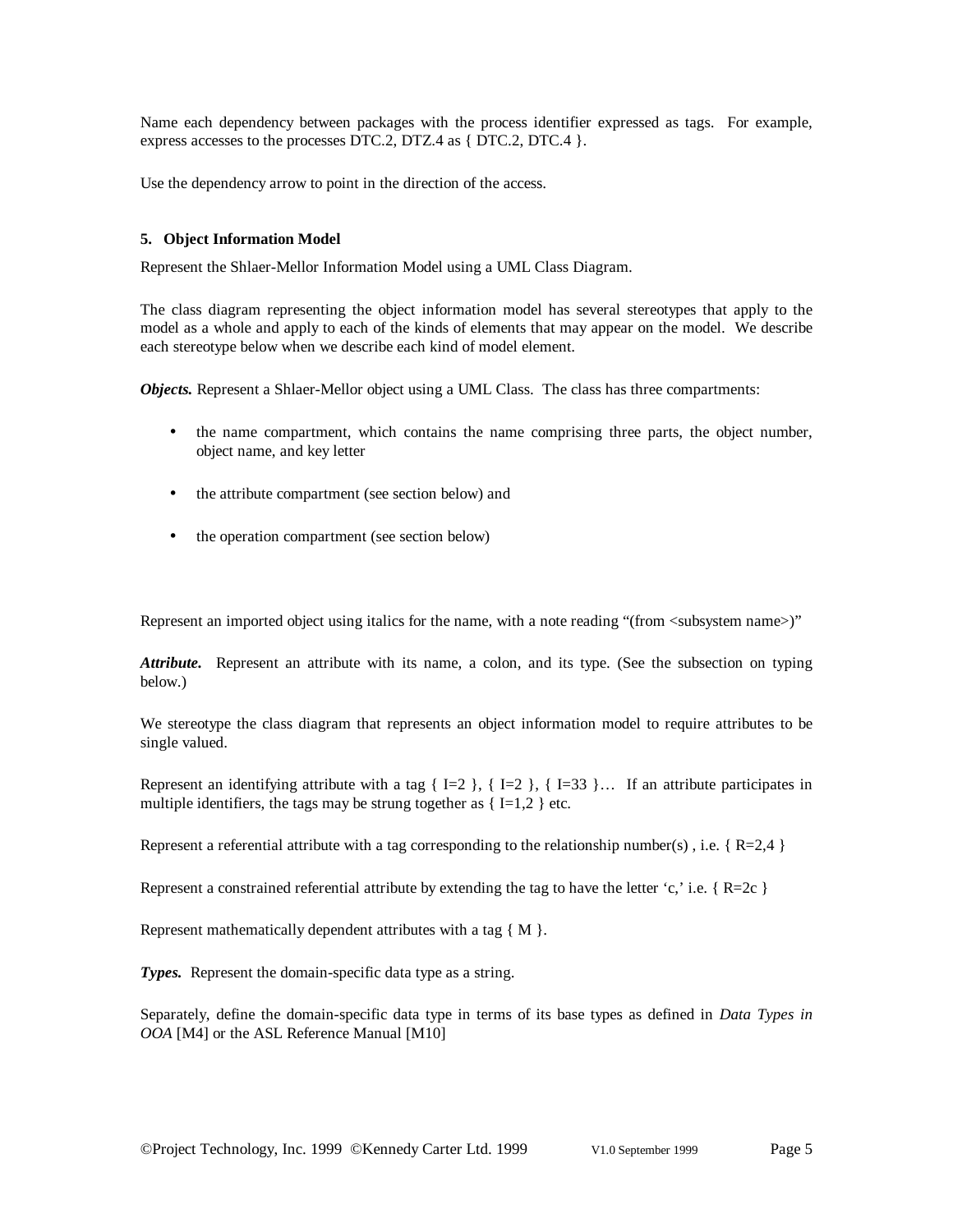Name each dependency between packages with the process identifier expressed as tags. For example, express accesses to the processes DTC.2, DTZ.4 as  $\{$  DTC.2, DTC.4  $\}$ .

Use the dependency arrow to point in the direction of the access.

#### **5. Object Information Model**

Represent the Shlaer-Mellor Information Model using a UML Class Diagram.

The class diagram representing the object information model has several stereotypes that apply to the model as a whole and apply to each of the kinds of elements that may appear on the model. We describe each stereotype below when we describe each kind of model element.

*Objects.* Represent a Shlaer-Mellor object using a UML Class. The class has three compartments:

- the name compartment, which contains the name comprising three parts, the object number, object name, and key letter
- the attribute compartment (see section below) and
- the operation compartment (see section below)

Represent an imported object using italics for the name, with a note reading "(from <subsystem name>)"

*Attribute.* Represent an attribute with its name, a colon, and its type. (See the subsection on typing below.)

We stereotype the class diagram that represents an object information model to require attributes to be single valued.

Represent an identifying attribute with a tag  $\{I=2\}$ ,  $\{I=2\}$ ,  $\{I=33\}$ ... If an attribute participates in multiple identifiers, the tags may be strung together as  $\{ \text{I=1,2} \}$  etc.

Represent a referential attribute with a tag corresponding to the relationship number(s), i.e.  $\{R=2,4\}$ 

Represent a constrained referential attribute by extending the tag to have the letter 'c,' i.e.  $\{R=2c\}$ 

Represent mathematically dependent attributes with a tag { M }.

**Types.** Represent the domain-specific data type as a string.

Separately, define the domain-specific data type in terms of its base types as defined in *Data Types in OOA* [M4] or the ASL Reference Manual [M10]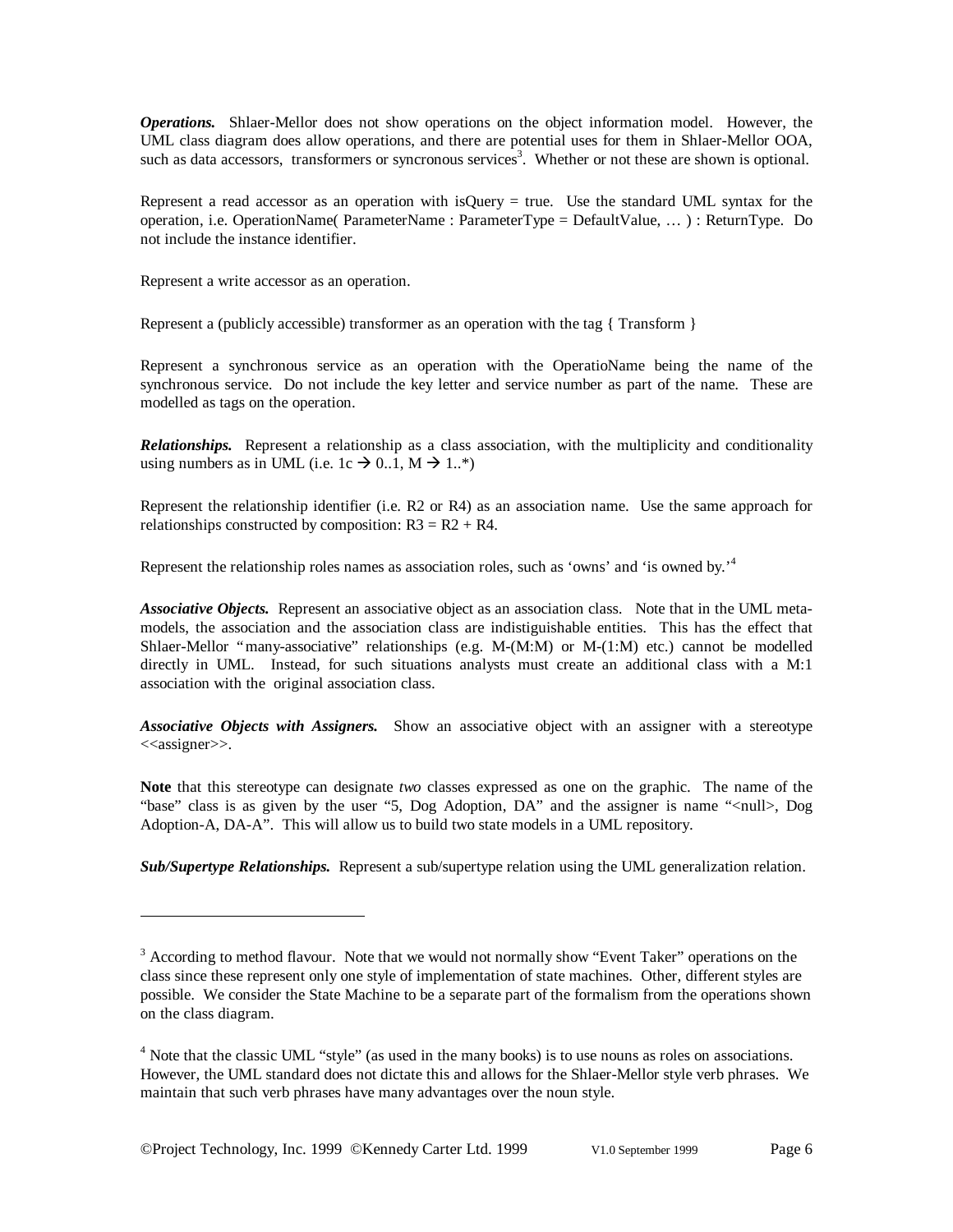*Operations.* Shlaer-Mellor does not show operations on the object information model. However, the UML class diagram does allow operations, and there are potential uses for them in Shlaer-Mellor OOA, such as data accessors, transformers or syncronous services<sup>3</sup>. Whether or not these are shown is optional.

Represent a read accessor as an operation with isQuery  $=$  true. Use the standard UML syntax for the operation, i.e. OperationName( ParameterName : ParameterType = DefaultValue, … ) : ReturnType. Do not include the instance identifier.

Represent a write accessor as an operation.

Represent a (publicly accessible) transformer as an operation with the tag { Transform }

Represent a synchronous service as an operation with the OperatioName being the name of the synchronous service. Do not include the key letter and service number as part of the name. These are modelled as tags on the operation.

*Relationships.* Represent a relationship as a class association, with the multiplicity and conditionality using numbers as in UML (i.e. 1c  $\rightarrow$  0..1, M  $\rightarrow$  1..\*)

Represent the relationship identifier (i.e. R2 or R4) as an association name. Use the same approach for relationships constructed by composition:  $R3 = R2 + R4$ .

Represent the relationship roles names as association roles, such as 'owns' and 'is owned by.<sup>4</sup>

*Associative Objects.* Represent an associative object as an association class. Note that in the UML metamodels, the association and the association class are indistiguishable entities. This has the effect that Shlaer-Mellor "many-associative" relationships (e.g. M-(M:M) or M-(1:M) etc.) cannot be modelled directly in UML. Instead, for such situations analysts must create an additional class with a M:1 association with the original association class.

*Associative Objects with Assigners.* Show an associative object with an assigner with a stereotype <<assigner>>.

**Note** that this stereotype can designate *two* classes expressed as one on the graphic. The name of the "base" class is as given by the user "5, Dog Adoption, DA" and the assigner is name "<null>, Dog Adoption-A, DA-A". This will allow us to build two state models in a UML repository.

*Sub/Supertype Relationships.* Represent a sub/supertype relation using the UML generalization relation.

 $3$  According to method flavour. Note that we would not normally show "Event Taker" operations on the class since these represent only one style of implementation of state machines. Other, different styles are possible. We consider the State Machine to be a separate part of the formalism from the operations shown on the class diagram.

<sup>&</sup>lt;sup>4</sup> Note that the classic UML "style" (as used in the many books) is to use nouns as roles on associations. However, the UML standard does not dictate this and allows for the Shlaer-Mellor style verb phrases. We maintain that such verb phrases have many advantages over the noun style.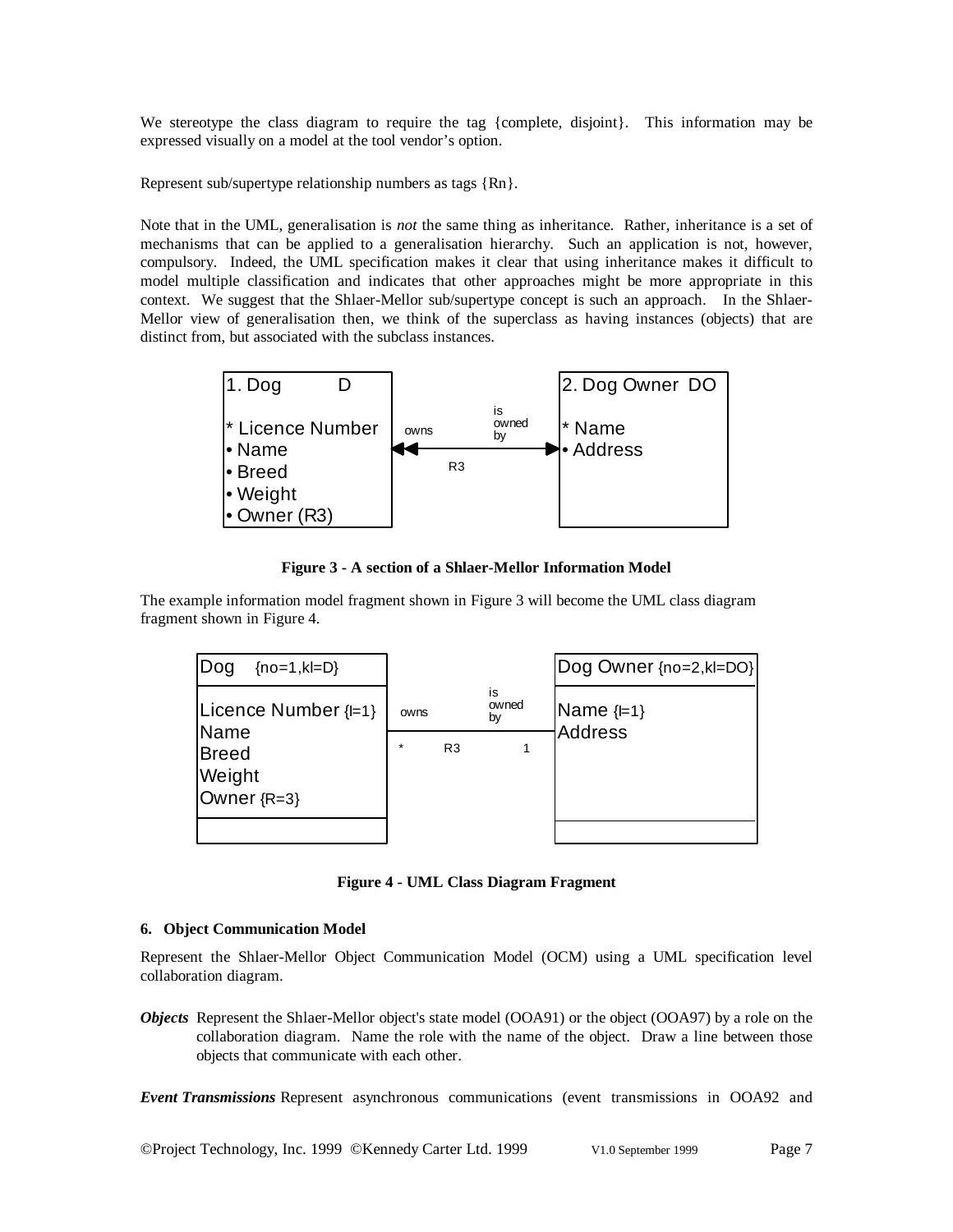We stereotype the class diagram to require the tag {complete, disjoint}. This information may be expressed visually on a model at the tool vendor's option.

Represent sub/supertype relationship numbers as tags {Rn}.

Note that in the UML, generalisation is *not* the same thing as inheritance. Rather, inheritance is a set of mechanisms that can be applied to a generalisation hierarchy. Such an application is not, however, compulsory. Indeed, the UML specification makes it clear that using inheritance makes it difficult to model multiple classification and indicates that other approaches might be more appropriate in this context. We suggest that the Shlaer-Mellor sub/supertype concept is such an approach. In the Shlaer-Mellor view of generalisation then, we think of the superclass as having instances (objects) that are distinct from, but associated with the subclass instances.



**Figure 3 - A section of a Shlaer-Mellor Information Model**

The example information model fragment shown in Figure 3 will become the UML class diagram fragment shown in Figure 4.



**Figure 4 - UML Class Diagram Fragment**

### **6. Object Communication Model**

Represent the Shlaer-Mellor Object Communication Model (OCM) using a UML specification level collaboration diagram.

*Objects* Represent the Shlaer-Mellor object's state model (OOA91) or the object (OOA97) by a role on the collaboration diagram. Name the role with the name of the object. Draw a line between those objects that communicate with each other.

*Event Transmissions* Represent asynchronous communications (event transmissions in OOA92 and

©Project Technology, Inc. 1999 ©Kennedy Carter Ltd. 1999 V1.0 September 1999 Page 7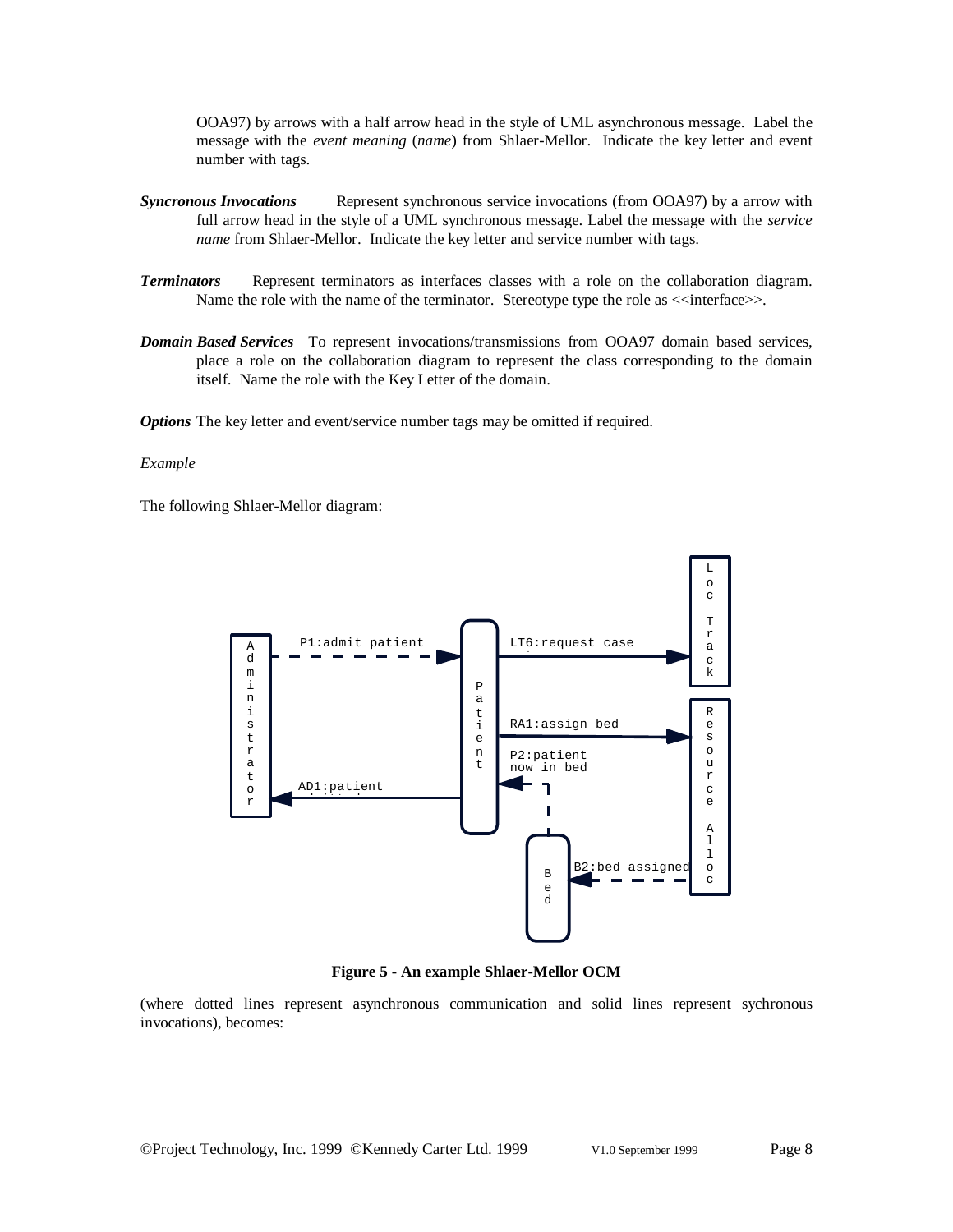OOA97) by arrows with a half arrow head in the style of UML asynchronous message. Label the message with the *event meaning* (*name*) from Shlaer-Mellor. Indicate the key letter and event number with tags.

- *Syncronous Invocations* Represent synchronous service invocations (from OOA97) by a arrow with full arrow head in the style of a UML synchronous message. Label the message with the *service name* from Shlaer-Mellor. Indicate the key letter and service number with tags.
- *Terminators* Represent terminators as interfaces classes with a role on the collaboration diagram. Name the role with the name of the terminator. Stereotype type the role as  $\leq$ interface>>.
- *Domain Based Services* To represent invocations/transmissions from OOA97 domain based services, place a role on the collaboration diagram to represent the class corresponding to the domain itself. Name the role with the Key Letter of the domain.

*Options* The key letter and event/service number tags may be omitted if required.

#### *Example*

The following Shlaer-Mellor diagram:



**Figure 5 - An example Shlaer-Mellor OCM**

(where dotted lines represent asynchronous communication and solid lines represent sychronous invocations), becomes: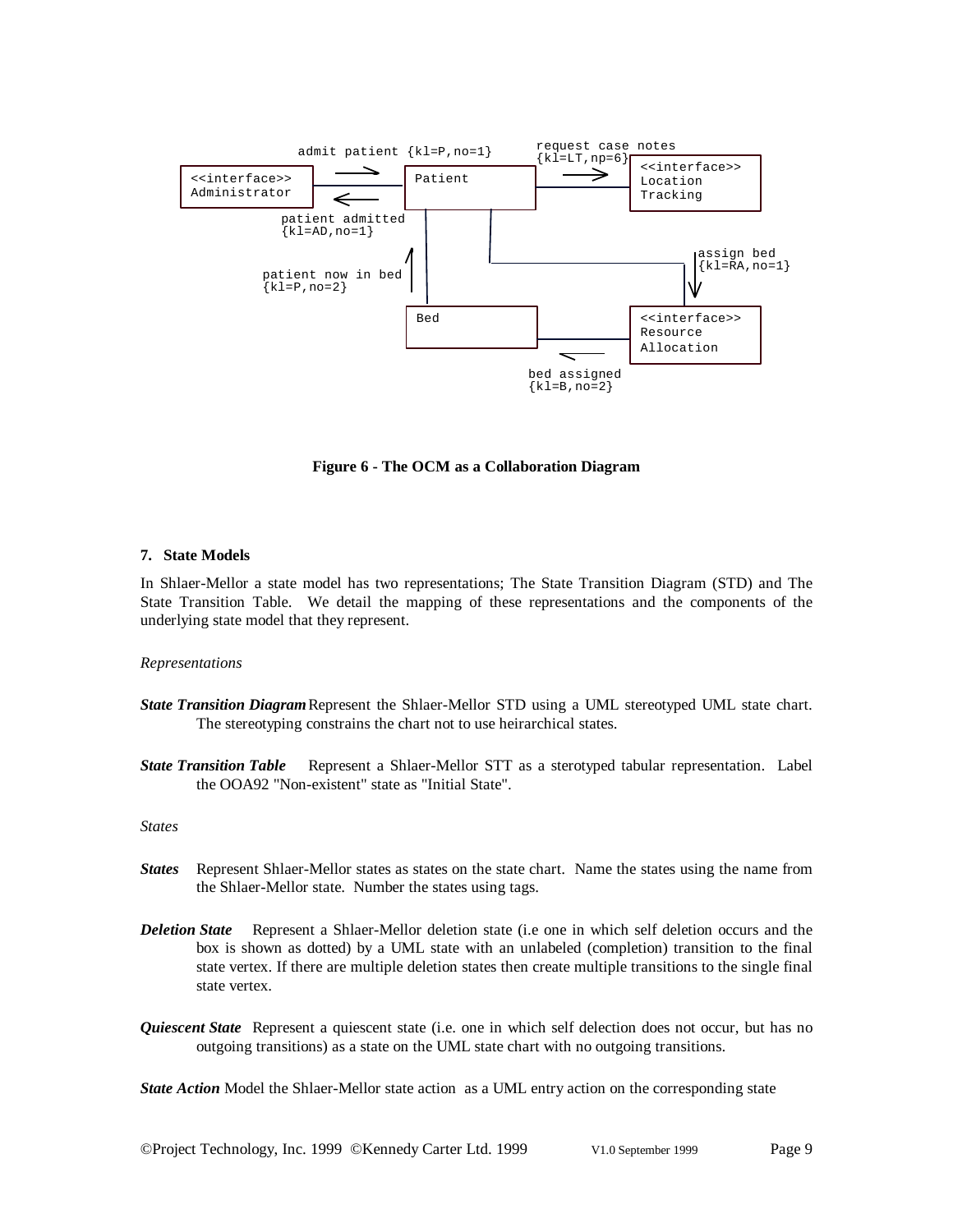

**Figure 6 - The OCM as a Collaboration Diagram**

#### **7. State Models**

In Shlaer-Mellor a state model has two representations; The State Transition Diagram (STD) and The State Transition Table. We detail the mapping of these representations and the components of the underlying state model that they represent.

#### *Representations*

- *State Transition Diagram*Represent the Shlaer-Mellor STD using a UML stereotyped UML state chart. The stereotyping constrains the chart not to use heirarchical states.
- *State Transition Table* Represent a Shlaer-Mellor STT as a sterotyped tabular representation. Label the OOA92 "Non-existent" state as "Initial State".

#### *States*

- *States* Represent Shlaer-Mellor states as states on the state chart. Name the states using the name from the Shlaer-Mellor state. Number the states using tags.
- *Deletion State* Represent a Shlaer-Mellor deletion state (i.e one in which self deletion occurs and the box is shown as dotted) by a UML state with an unlabeled (completion) transition to the final state vertex. If there are multiple deletion states then create multiple transitions to the single final state vertex.
- *Quiescent State* Represent a quiescent state (i.e. one in which self delection does not occur, but has no outgoing transitions) as a state on the UML state chart with no outgoing transitions.

*State Action* Model the Shlaer-Mellor state action as a UML entry action on the corresponding state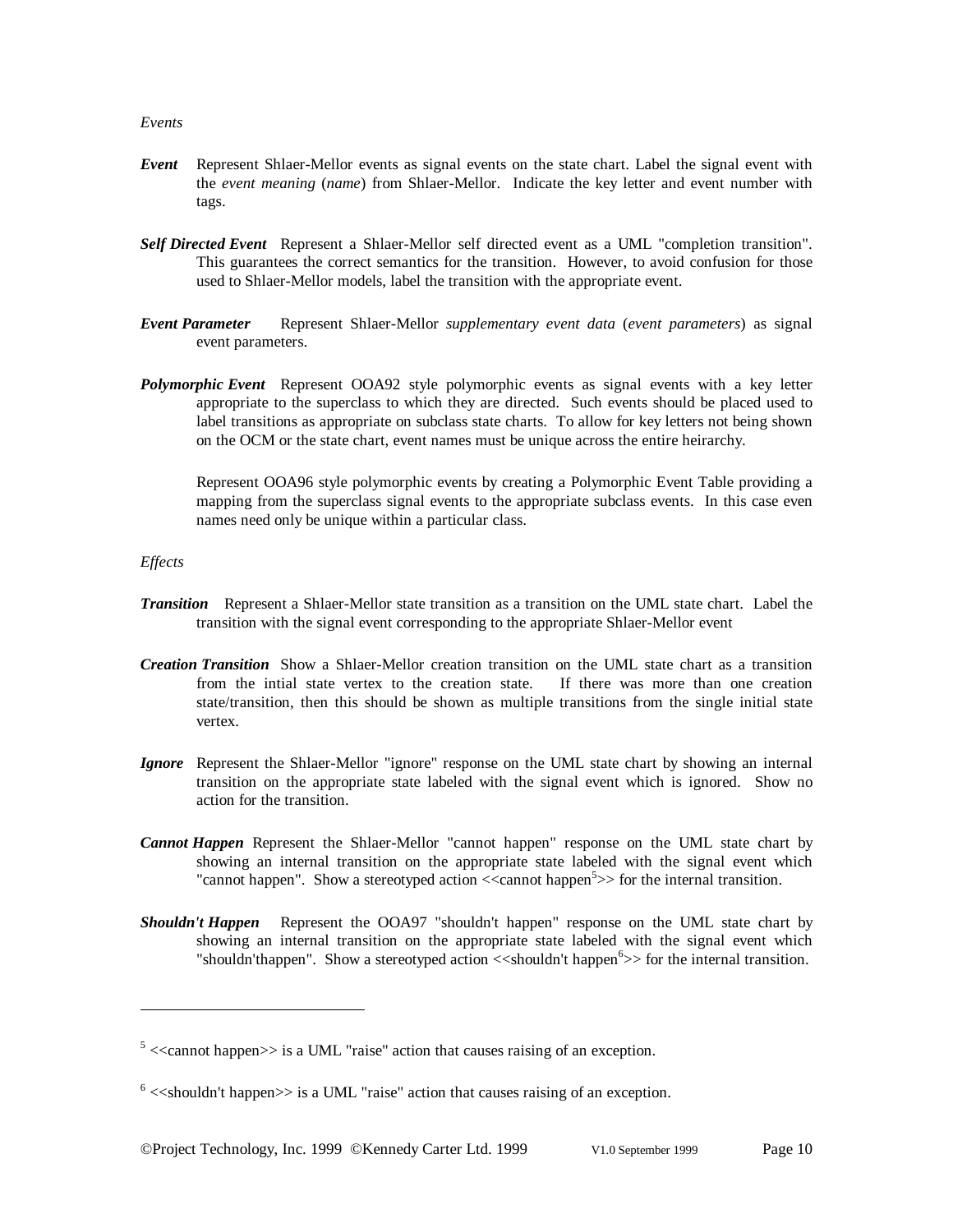#### *Events*

- *Event* Represent Shlaer-Mellor events as signal events on the state chart. Label the signal event with the *event meaning* (*name*) from Shlaer-Mellor. Indicate the key letter and event number with tags.
- *Self Directed Event* Represent a Shlaer-Mellor self directed event as a UML "completion transition". This guarantees the correct semantics for the transition. However, to avoid confusion for those used to Shlaer-Mellor models, label the transition with the appropriate event.
- *Event Parameter* Represent Shlaer-Mellor *supplementary event data* (*event parameters*) as signal event parameters.
- *Polymorphic Event* Represent OOA92 style polymorphic events as signal events with a key letter appropriate to the superclass to which they are directed. Such events should be placed used to label transitions as appropriate on subclass state charts. To allow for key letters not being shown on the OCM or the state chart, event names must be unique across the entire heirarchy.

Represent OOA96 style polymorphic events by creating a Polymorphic Event Table providing a mapping from the superclass signal events to the appropriate subclass events. In this case even names need only be unique within a particular class.

#### *Effects*

- *Transition* Represent a Shlaer-Mellor state transition as a transition on the UML state chart. Label the transition with the signal event corresponding to the appropriate Shlaer-Mellor event
- *Creation Transition* Show a Shlaer-Mellor creation transition on the UML state chart as a transition from the intial state vertex to the creation state. If there was more than one creation state/transition, then this should be shown as multiple transitions from the single initial state vertex.
- *Ignore* Represent the Shlaer-Mellor "ignore" response on the UML state chart by showing an internal transition on the appropriate state labeled with the signal event which is ignored. Show no action for the transition.
- *Cannot Happen* Represent the Shlaer-Mellor "cannot happen" response on the UML state chart by showing an internal transition on the appropriate state labeled with the signal event which "cannot happen". Show a stereotyped action <<cannot happen<sup>5</sup>>> for the internal transition.
- *Shouldn't Happen* Represent the OOA97 "shouldn't happen" response on the UML state chart by showing an internal transition on the appropriate state labeled with the signal event which "shouldn'thappen". Show a stereotyped action <<shouldn't happen<sup>6</sup>>> for the internal transition.

 $5$  <<cannot happen>> is a UML "raise" action that causes raising of an exception.

 $6$  <<shouldn't happen>> is a UML "raise" action that causes raising of an exception.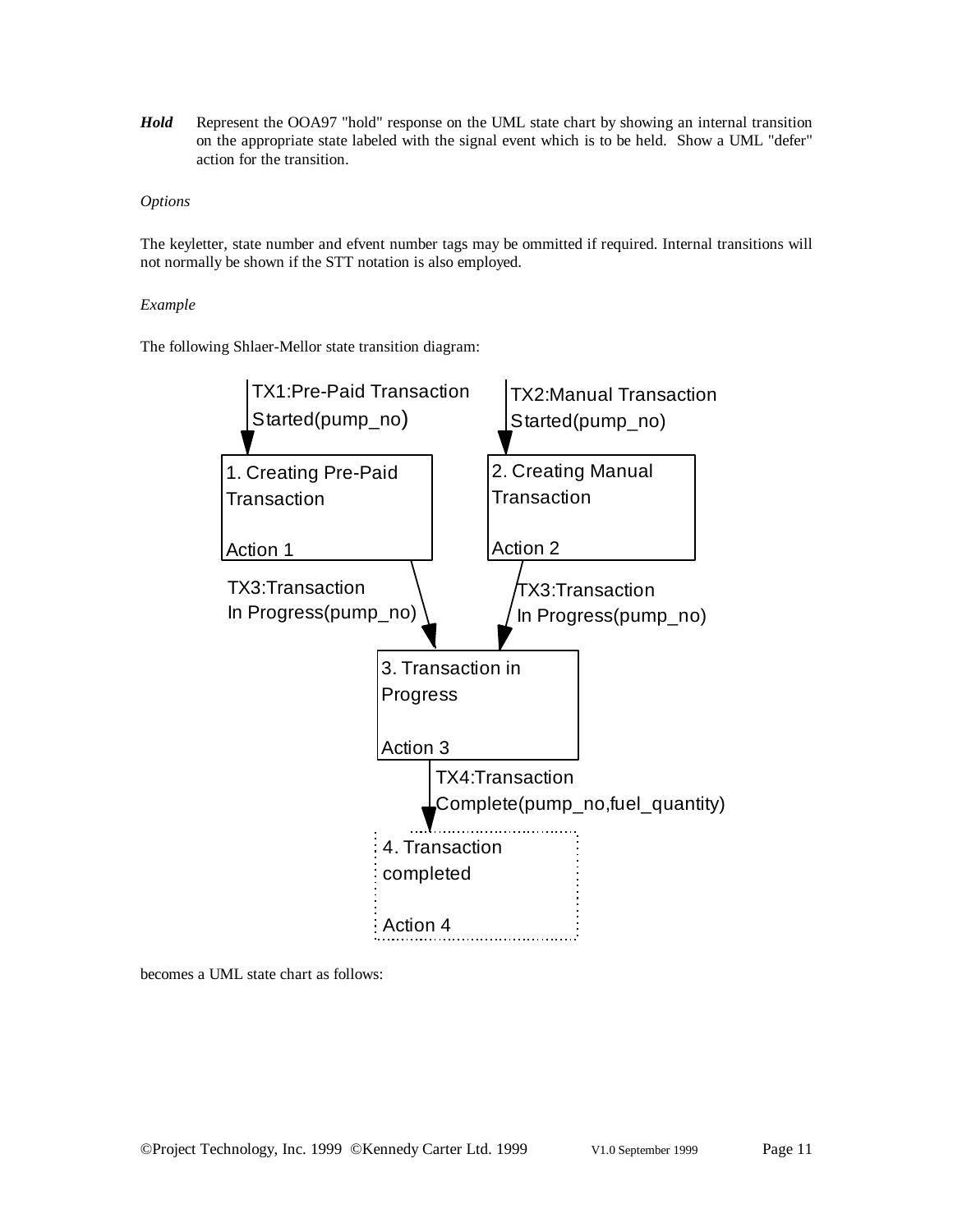*Hold* Represent the OOA97 "hold" response on the UML state chart by showing an internal transition on the appropriate state labeled with the signal event which is to be held. Show a UML "defer" action for the transition.

### *Options*

The keyletter, state number and efvent number tags may be ommitted if required. Internal transitions will not normally be shown if the STT notation is also employed.

#### *Example*

The following Shlaer-Mellor state transition diagram:



becomes a UML state chart as follows: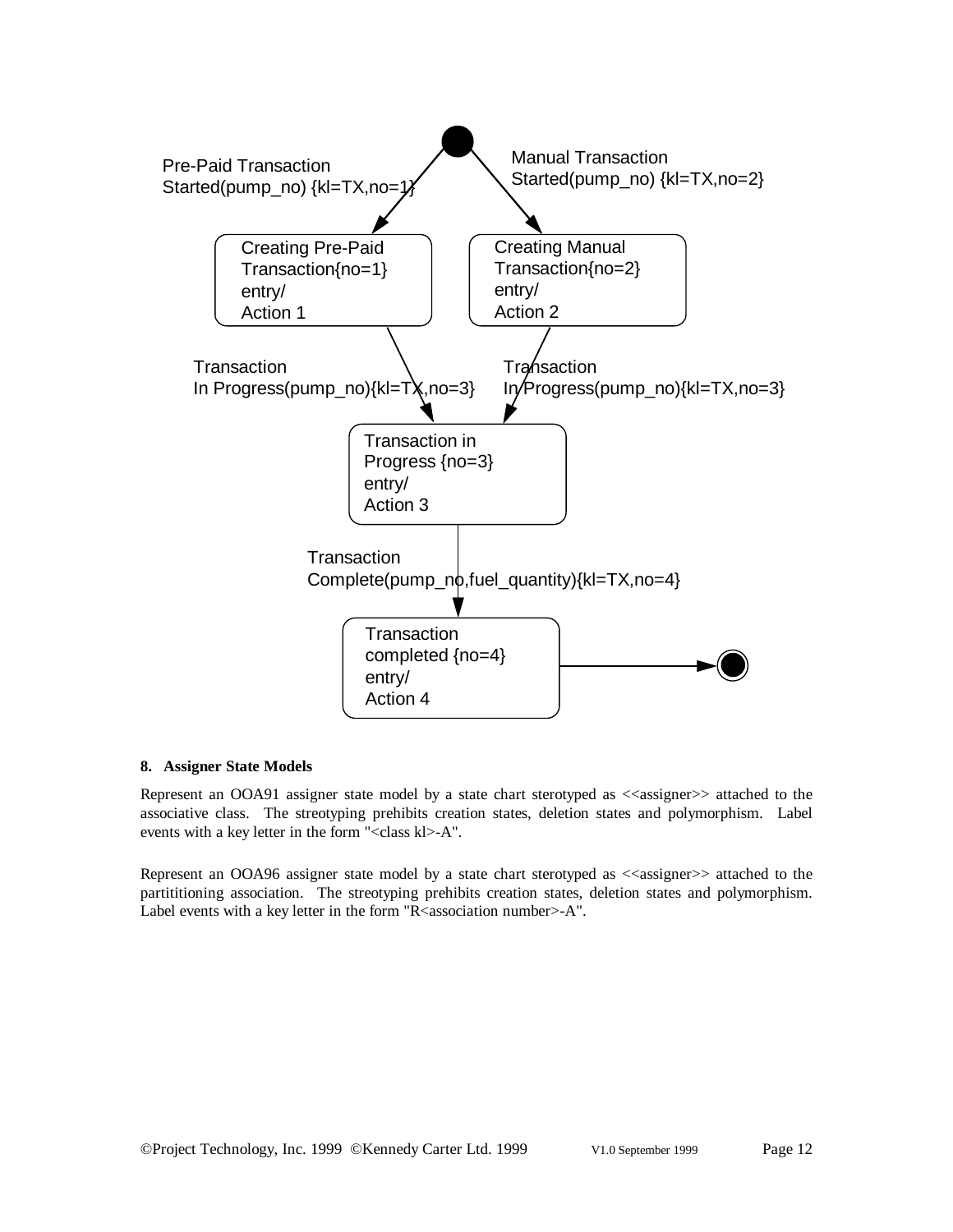

#### **8. Assigner State Models**

Represent an OOA91 assigner state model by a state chart sterotyped as <<assigner>> attached to the associative class. The streotyping prehibits creation states, deletion states and polymorphism. Label events with a key letter in the form "<class kl>-A".

Represent an OOA96 assigner state model by a state chart sterotyped as <<assigner>> attached to the partititioning association. The streotyping prehibits creation states, deletion states and polymorphism. Label events with a key letter in the form "R<association number>-A".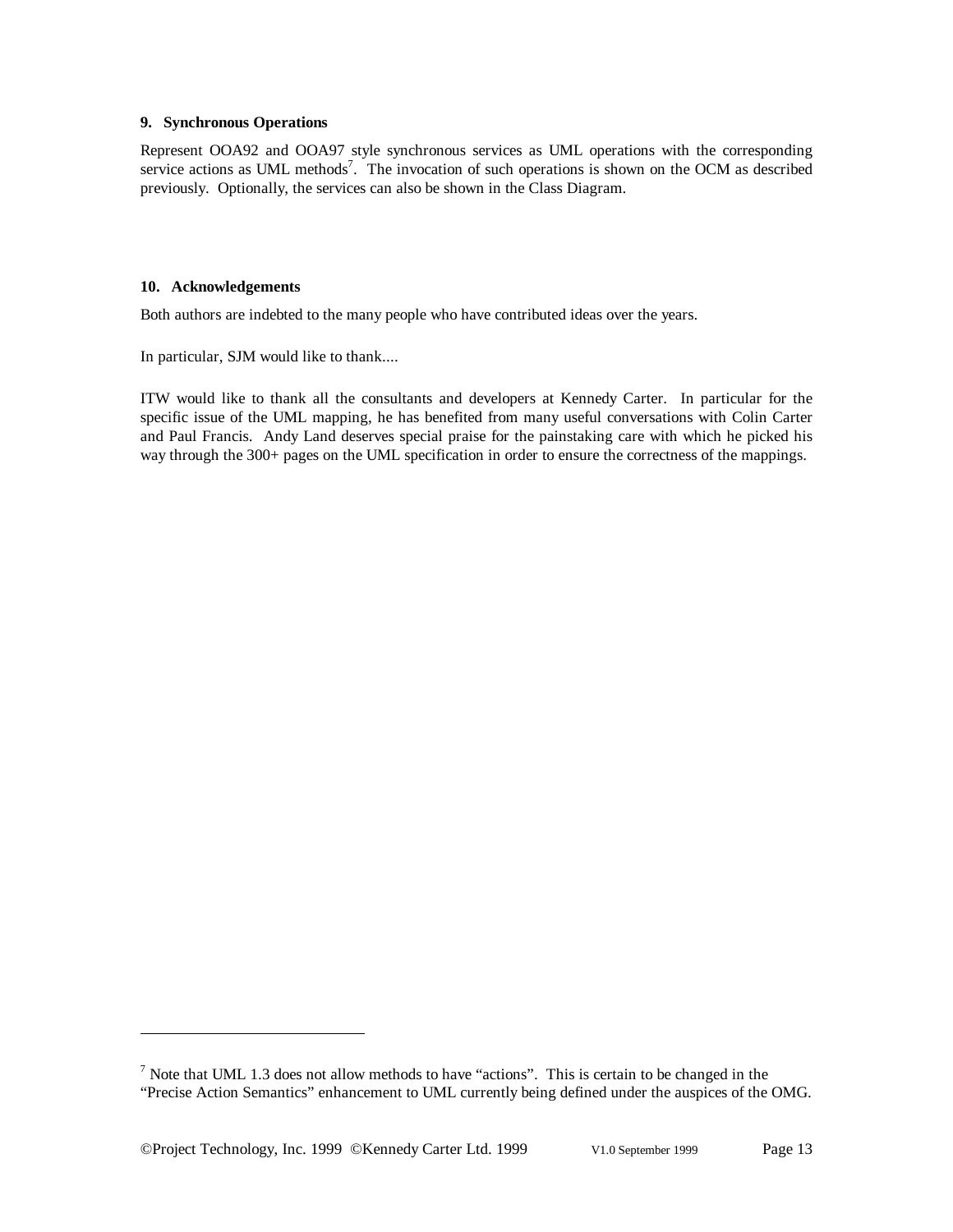#### **9. Synchronous Operations**

Represent OOA92 and OOA97 style synchronous services as UML operations with the corresponding service actions as UML methods<sup>7</sup>. The invocation of such operations is shown on the OCM as described previously. Optionally, the services can also be shown in the Class Diagram.

#### **10. Acknowledgements**

Both authors are indebted to the many people who have contributed ideas over the years.

In particular, SJM would like to thank....

ITW would like to thank all the consultants and developers at Kennedy Carter. In particular for the specific issue of the UML mapping, he has benefited from many useful conversations with Colin Carter and Paul Francis. Andy Land deserves special praise for the painstaking care with which he picked his way through the 300+ pages on the UML specification in order to ensure the correctness of the mappings.

©Project Technology, Inc. 1999 ©Kennedy Carter Ltd. 1999 V1.0 September 1999 Page 13

<sup>&</sup>lt;sup>7</sup> Note that UML 1.3 does not allow methods to have "actions". This is certain to be changed in the "Precise Action Semantics" enhancement to UML currently being defined under the auspices of the OMG.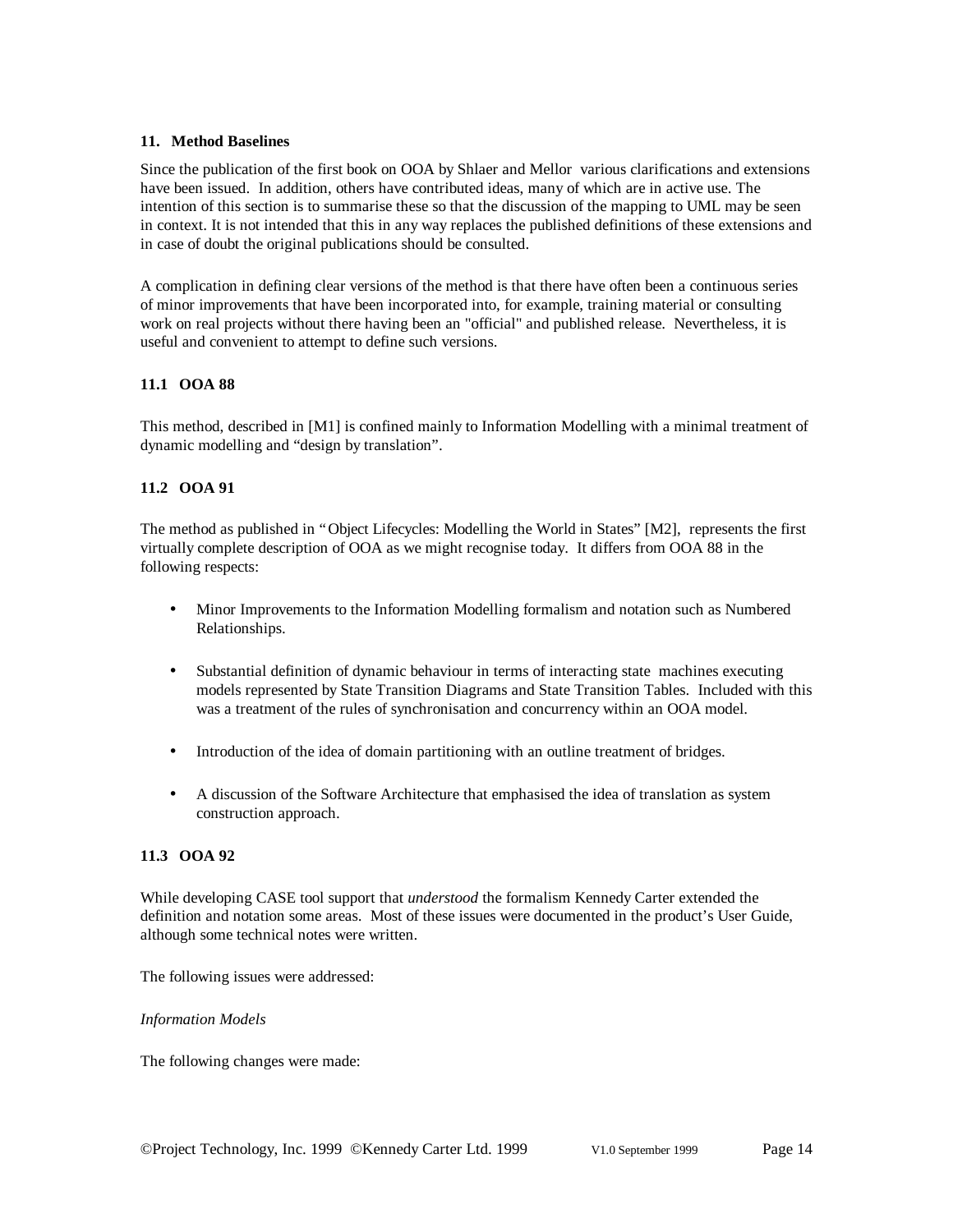#### **11. Method Baselines**

Since the publication of the first book on OOA by Shlaer and Mellor various clarifications and extensions have been issued. In addition, others have contributed ideas, many of which are in active use. The intention of this section is to summarise these so that the discussion of the mapping to UML may be seen in context. It is not intended that this in any way replaces the published definitions of these extensions and in case of doubt the original publications should be consulted.

A complication in defining clear versions of the method is that there have often been a continuous series of minor improvements that have been incorporated into, for example, training material or consulting work on real projects without there having been an "official" and published release. Nevertheless, it is useful and convenient to attempt to define such versions.

### **11.1 OOA 88**

This method, described in [M1] is confined mainly to Information Modelling with a minimal treatment of dynamic modelling and "design by translation".

### **11.2 OOA 91**

The method as published in "Object Lifecycles: Modelling the World in States" [M2], represents the first virtually complete description of OOA as we might recognise today. It differs from OOA 88 in the following respects:

- Minor Improvements to the Information Modelling formalism and notation such as Numbered Relationships.
- Substantial definition of dynamic behaviour in terms of interacting state machines executing models represented by State Transition Diagrams and State Transition Tables. Included with this was a treatment of the rules of synchronisation and concurrency within an OOA model.
- Introduction of the idea of domain partitioning with an outline treatment of bridges.
- A discussion of the Software Architecture that emphasised the idea of translation as system construction approach.

# **11.3 OOA 92**

While developing CASE tool support that *understood* the formalism Kennedy Carter extended the definition and notation some areas. Most of these issues were documented in the product's User Guide, although some technical notes were written.

The following issues were addressed:

#### *Information Models*

The following changes were made: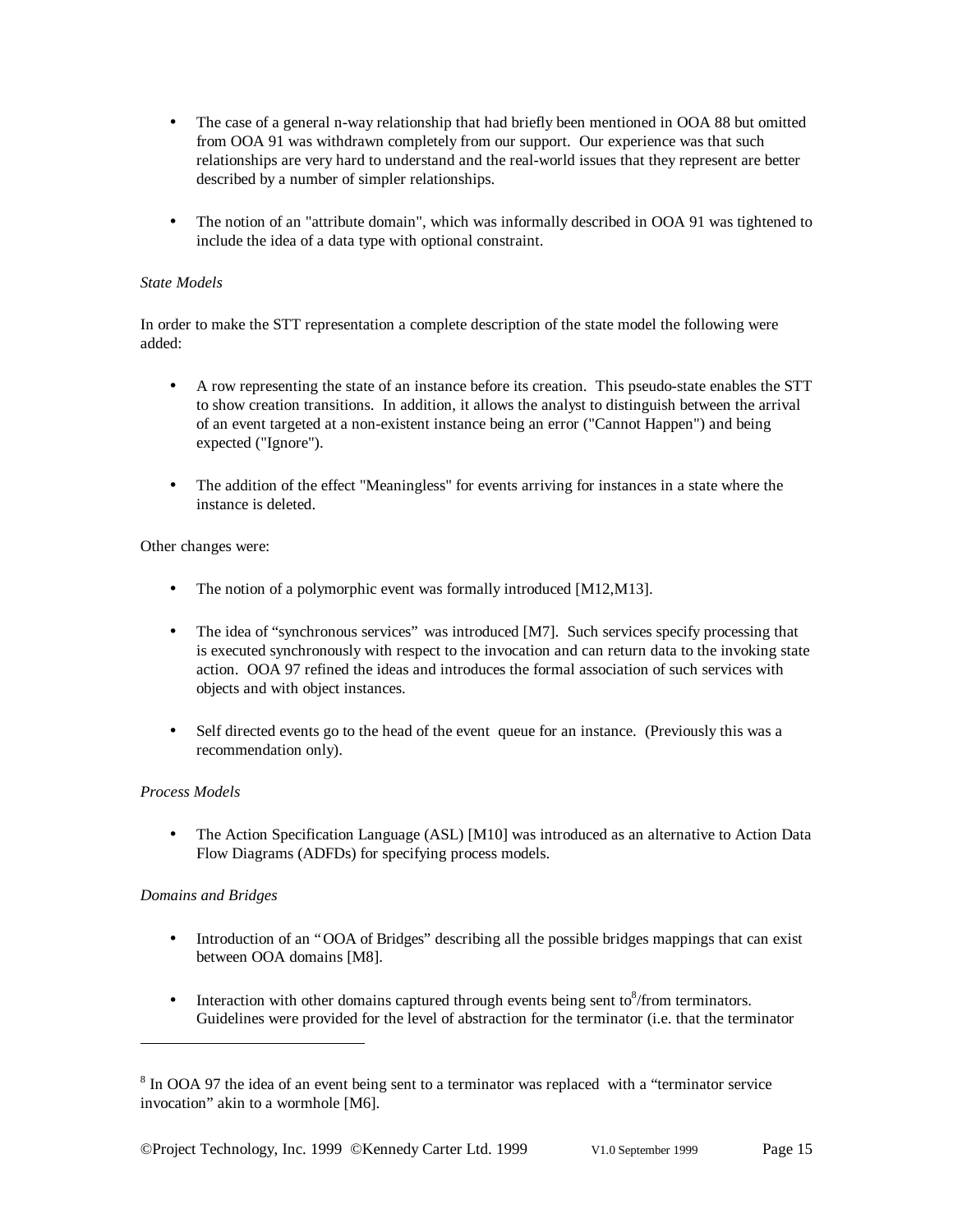- The case of a general n-way relationship that had briefly been mentioned in OOA 88 but omitted from OOA 91 was withdrawn completely from our support. Our experience was that such relationships are very hard to understand and the real-world issues that they represent are better described by a number of simpler relationships.
- The notion of an "attribute domain", which was informally described in OOA 91 was tightened to include the idea of a data type with optional constraint.

### *State Models*

In order to make the STT representation a complete description of the state model the following were added:

- A row representing the state of an instance before its creation. This pseudo-state enables the STT to show creation transitions. In addition, it allows the analyst to distinguish between the arrival of an event targeted at a non-existent instance being an error ("Cannot Happen") and being expected ("Ignore").
- The addition of the effect "Meaningless" for events arriving for instances in a state where the instance is deleted.

#### Other changes were:

- The notion of a polymorphic event was formally introduced [M12,M13].
- The idea of "synchronous services" was introduced [M7]. Such services specify processing that is executed synchronously with respect to the invocation and can return data to the invoking state action. OOA 97 refined the ideas and introduces the formal association of such services with objects and with object instances.
- Self directed events go to the head of the event queue for an instance. (Previously this was a recommendation only).

### *Process Models*

• The Action Specification Language (ASL) [M10] was introduced as an alternative to Action Data Flow Diagrams (ADFDs) for specifying process models.

### *Domains and Bridges*

- Introduction of an "OOA of Bridges" describing all the possible bridges mappings that can exist between OOA domains [M8].
- Interaction with other domains captured through events being sent to  $\delta$ /from terminators. Guidelines were provided for the level of abstraction for the terminator (i.e. that the terminator

 $8 \text{ In OOA } 97$  the idea of an event being sent to a terminator was replaced with a "terminator service invocation" akin to a wormhole [M6].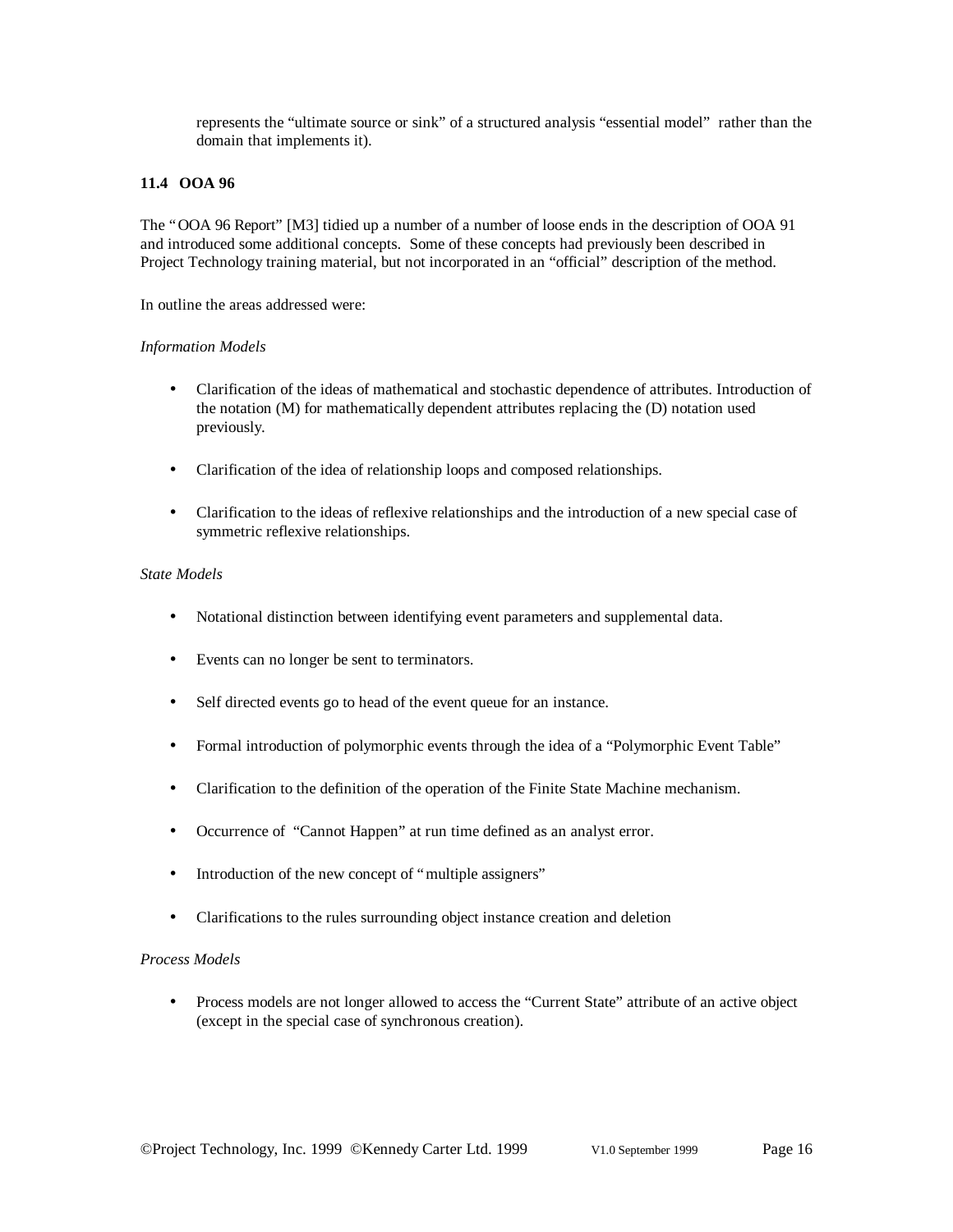represents the "ultimate source or sink" of a structured analysis "essential model" rather than the domain that implements it).

#### **11.4 OOA 96**

The "OOA 96 Report" [M3] tidied up a number of a number of loose ends in the description of OOA 91 and introduced some additional concepts. Some of these concepts had previously been described in Project Technology training material, but not incorporated in an "official" description of the method.

In outline the areas addressed were:

#### *Information Models*

- Clarification of the ideas of mathematical and stochastic dependence of attributes. Introduction of the notation (M) for mathematically dependent attributes replacing the (D) notation used previously.
- Clarification of the idea of relationship loops and composed relationships.
- Clarification to the ideas of reflexive relationships and the introduction of a new special case of symmetric reflexive relationships.

### *State Models*

- Notational distinction between identifying event parameters and supplemental data.
- Events can no longer be sent to terminators.
- Self directed events go to head of the event queue for an instance.
- Formal introduction of polymorphic events through the idea of a "Polymorphic Event Table"
- Clarification to the definition of the operation of the Finite State Machine mechanism.
- Occurrence of "Cannot Happen" at run time defined as an analyst error.
- Introduction of the new concept of "multiple assigners"
- Clarifications to the rules surrounding object instance creation and deletion

## *Process Models*

• Process models are not longer allowed to access the "Current State" attribute of an active object (except in the special case of synchronous creation).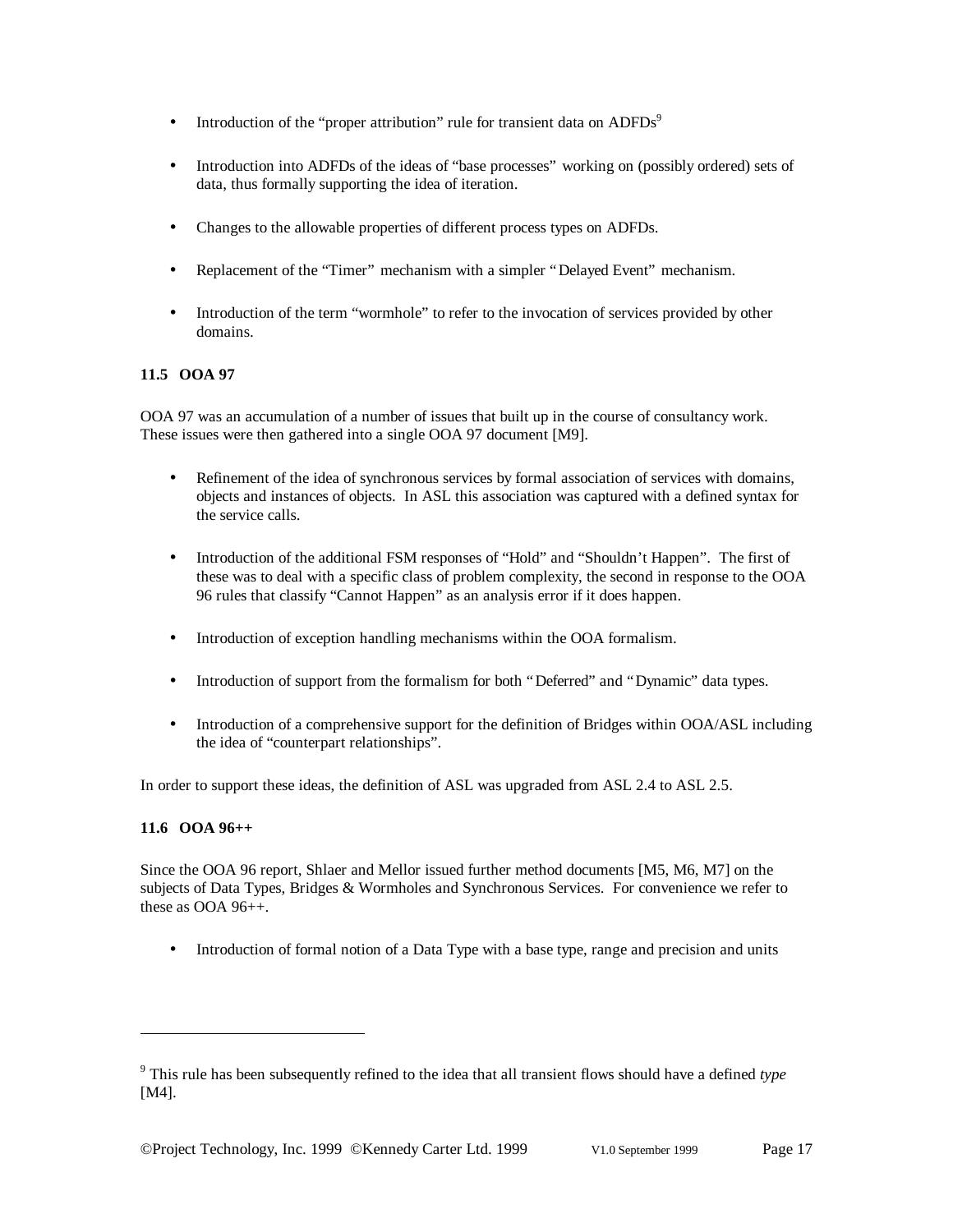- Introduction of the "proper attribution" rule for transient data on  $\text{ADFDs}^9$
- Introduction into ADFDs of the ideas of "base processes" working on (possibly ordered) sets of data, thus formally supporting the idea of iteration.
- Changes to the allowable properties of different process types on ADFDs.
- Replacement of the "Timer" mechanism with a simpler "Delayed Event" mechanism.
- Introduction of the term "wormhole" to refer to the invocation of services provided by other domains.

# **11.5 OOA 97**

OOA 97 was an accumulation of a number of issues that built up in the course of consultancy work. These issues were then gathered into a single OOA 97 document [M9].

- Refinement of the idea of synchronous services by formal association of services with domains, objects and instances of objects. In ASL this association was captured with a defined syntax for the service calls.
- Introduction of the additional FSM responses of "Hold" and "Shouldn't Happen". The first of these was to deal with a specific class of problem complexity, the second in response to the OOA 96 rules that classify "Cannot Happen" as an analysis error if it does happen.
- Introduction of exception handling mechanisms within the OOA formalism.
- Introduction of support from the formalism for both "Deferred" and "Dynamic" data types.
- Introduction of a comprehensive support for the definition of Bridges within OOA/ASL including the idea of "counterpart relationships".

In order to support these ideas, the definition of ASL was upgraded from ASL 2.4 to ASL 2.5.

### **11.6 OOA 96++**

-

Since the OOA 96 report, Shlaer and Mellor issued further method documents [M5, M6, M7] on the subjects of Data Types, Bridges & Wormholes and Synchronous Services. For convenience we refer to these as OOA 96++.

• Introduction of formal notion of a Data Type with a base type, range and precision and units

<sup>9</sup> This rule has been subsequently refined to the idea that all transient flows should have a defined *type* [M4].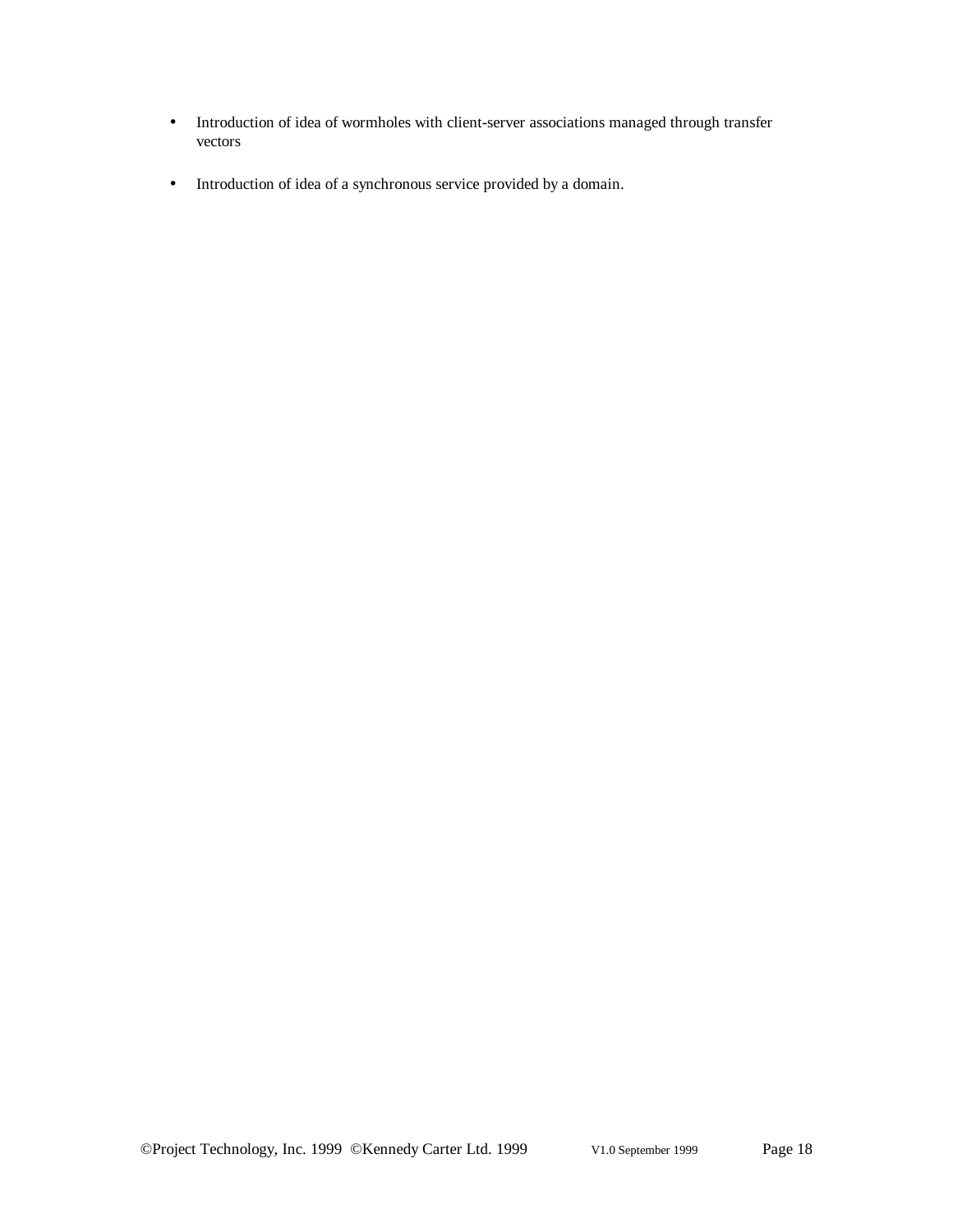- Introduction of idea of wormholes with client-server associations managed through transfer vectors
- Introduction of idea of a synchronous service provided by a domain.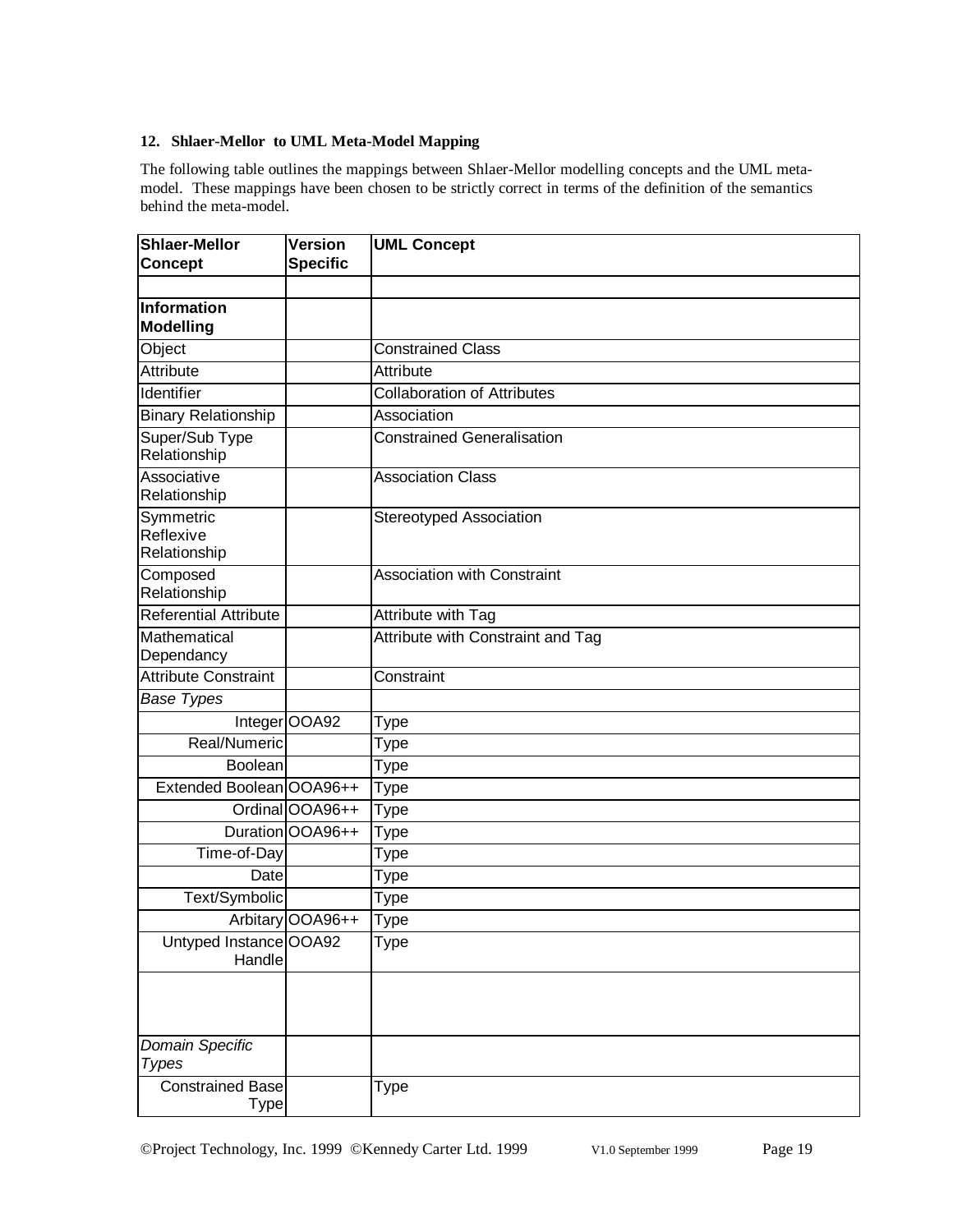### **12. Shlaer-Mellor to UML Meta-Model Mapping**

The following table outlines the mappings between Shlaer-Mellor modelling concepts and the UML metamodel. These mappings have been chosen to be strictly correct in terms of the definition of the semantics behind the meta-model.

| <b>Shlaer-Mellor</b><br><b>Concept</b> | <b>Version</b><br><b>Specific</b> | <b>UML Concept</b>                 |
|----------------------------------------|-----------------------------------|------------------------------------|
|                                        |                                   |                                    |
| <b>Information</b><br><b>Modelling</b> |                                   |                                    |
| Object                                 |                                   | <b>Constrained Class</b>           |
| <b>Attribute</b>                       |                                   | Attribute                          |
| Identifier                             |                                   | <b>Collaboration of Attributes</b> |
| <b>Binary Relationship</b>             |                                   | Association                        |
| Super/Sub Type<br>Relationship         |                                   | <b>Constrained Generalisation</b>  |
| Associative<br>Relationship            |                                   | <b>Association Class</b>           |
| Symmetric<br>Reflexive<br>Relationship |                                   | Stereotyped Association            |
| Composed<br>Relationship               |                                   | <b>Association with Constraint</b> |
| <b>Referential Attribute</b>           |                                   | Attribute with Tag                 |
| Mathematical<br>Dependancy             |                                   | Attribute with Constraint and Tag  |
| <b>Attribute Constraint</b>            |                                   | Constraint                         |
| <b>Base Types</b>                      |                                   |                                    |
|                                        | Integer OOA92                     | Type                               |
| Real/Numeric                           |                                   | Type                               |
| Boolean                                |                                   | Type                               |
| Extended Boolean OOA96++               |                                   | Type                               |
|                                        | Ordinal OOA96++                   | <b>Type</b>                        |
|                                        | Duration OOA96++                  | Type                               |
| Time-of-Day                            |                                   | Type                               |
| Date                                   |                                   | Type                               |
| Text/Symbolic                          |                                   | Type                               |
|                                        | Arbitary OOA96++                  | Type                               |
| Untyped Instance OOA92<br>Handle       |                                   | <b>Type</b>                        |
|                                        |                                   |                                    |
| Domain Specific<br><b>Types</b>        |                                   |                                    |
| <b>Constrained Base</b>                |                                   | Type                               |
| <b>Type</b>                            |                                   |                                    |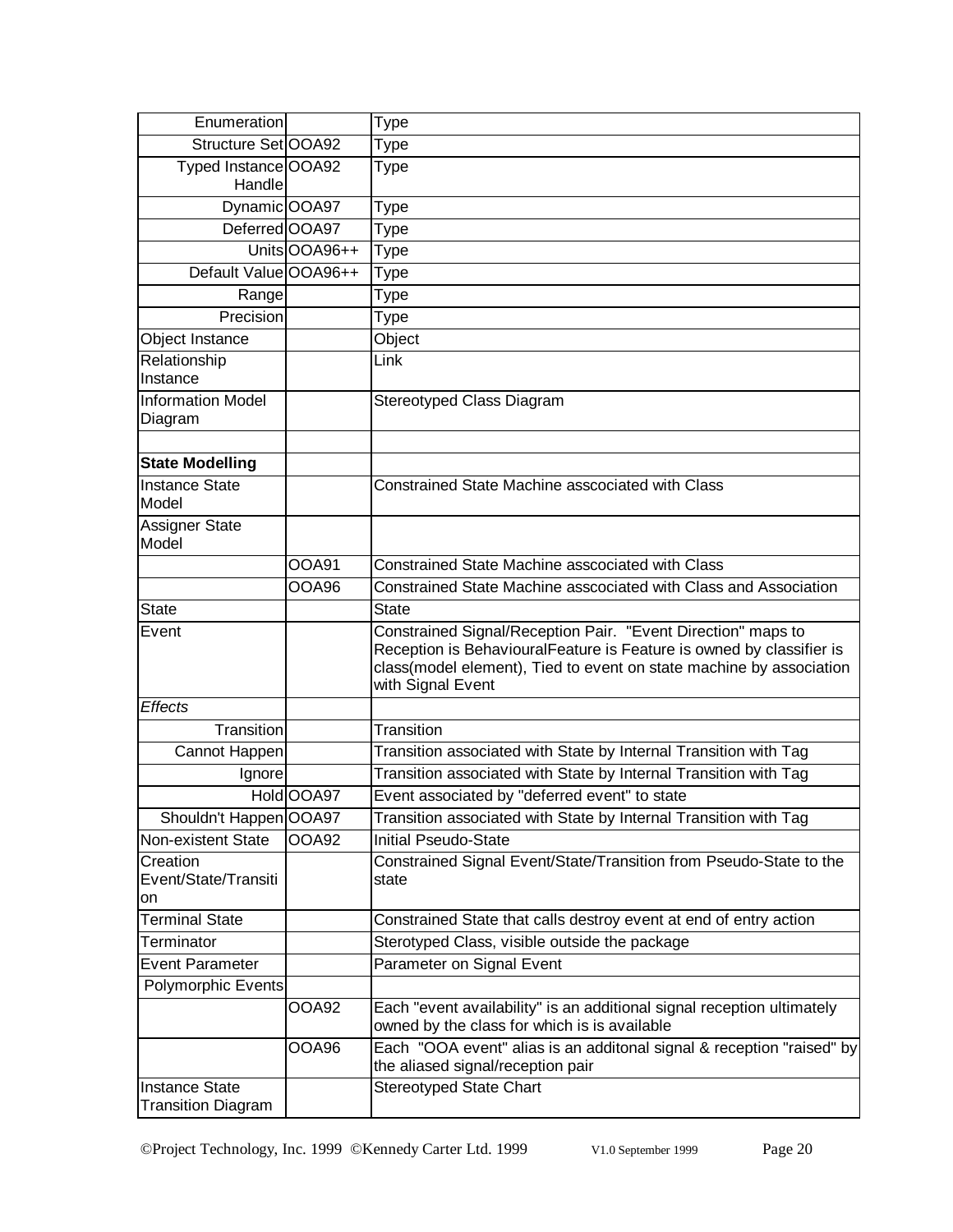| Enumeration                                        |               | Type                                                                                                                                                                                                                             |
|----------------------------------------------------|---------------|----------------------------------------------------------------------------------------------------------------------------------------------------------------------------------------------------------------------------------|
| Structure Set OOA92                                |               | Type                                                                                                                                                                                                                             |
| Typed Instance OOA92<br>Handle                     |               | Type                                                                                                                                                                                                                             |
| Dynamic OOA97                                      |               | Type                                                                                                                                                                                                                             |
| Deferred OOA97                                     |               | Type                                                                                                                                                                                                                             |
|                                                    | Units OOA96++ | Type                                                                                                                                                                                                                             |
| Default Value OOA96++                              |               | Type                                                                                                                                                                                                                             |
| Range                                              |               | Type                                                                                                                                                                                                                             |
| Precision                                          |               | Type                                                                                                                                                                                                                             |
| Object Instance                                    |               | Object                                                                                                                                                                                                                           |
| Relationship<br>Instance                           |               | Link                                                                                                                                                                                                                             |
| <b>Information Model</b><br>Diagram                |               | Stereotyped Class Diagram                                                                                                                                                                                                        |
|                                                    |               |                                                                                                                                                                                                                                  |
| <b>State Modelling</b>                             |               |                                                                                                                                                                                                                                  |
| <b>Instance State</b><br>Model                     |               | Constrained State Machine asscociated with Class                                                                                                                                                                                 |
| Assigner State<br>Model                            |               |                                                                                                                                                                                                                                  |
|                                                    | <b>OOA91</b>  | <b>Constrained State Machine asscociated with Class</b>                                                                                                                                                                          |
|                                                    | <b>OOA96</b>  | Constrained State Machine asscociated with Class and Association                                                                                                                                                                 |
| <b>State</b>                                       |               | <b>State</b>                                                                                                                                                                                                                     |
| Event                                              |               | Constrained Signal/Reception Pair. "Event Direction" maps to<br>Reception is BehaviouralFeature is Feature is owned by classifier is<br>class(model element), Tied to event on state machine by association<br>with Signal Event |
| <b>Effects</b>                                     |               |                                                                                                                                                                                                                                  |
| Transition                                         |               | Transition                                                                                                                                                                                                                       |
| Cannot Happen                                      |               | Transition associated with State by Internal Transition with Tag                                                                                                                                                                 |
| Ignore                                             |               | Transition associated with State by Internal Transition with Tag                                                                                                                                                                 |
|                                                    | Hold OOA97    | Event associated by "deferred event" to state                                                                                                                                                                                    |
| Shouldn't Happen OOA97                             |               | Transition associated with State by Internal Transition with Tag                                                                                                                                                                 |
| Non-existent State                                 | <b>OOA92</b>  | <b>Initial Pseudo-State</b>                                                                                                                                                                                                      |
| Creation<br>Event/State/Transiti<br>on             |               | Constrained Signal Event/State/Transition from Pseudo-State to the<br>state                                                                                                                                                      |
| <b>Terminal State</b>                              |               | Constrained State that calls destroy event at end of entry action                                                                                                                                                                |
| Terminator                                         |               | Sterotyped Class, visible outside the package                                                                                                                                                                                    |
| <b>Event Parameter</b>                             |               | Parameter on Signal Event                                                                                                                                                                                                        |
| Polymorphic Events                                 |               |                                                                                                                                                                                                                                  |
|                                                    | OOA92         | Each "event availability" is an additional signal reception ultimately<br>owned by the class for which is is available                                                                                                           |
|                                                    | OOA96         | Each "OOA event" alias is an additonal signal & reception "raised" by<br>the aliased signal/reception pair                                                                                                                       |
| <b>Instance State</b><br><b>Transition Diagram</b> |               | <b>Stereotyped State Chart</b>                                                                                                                                                                                                   |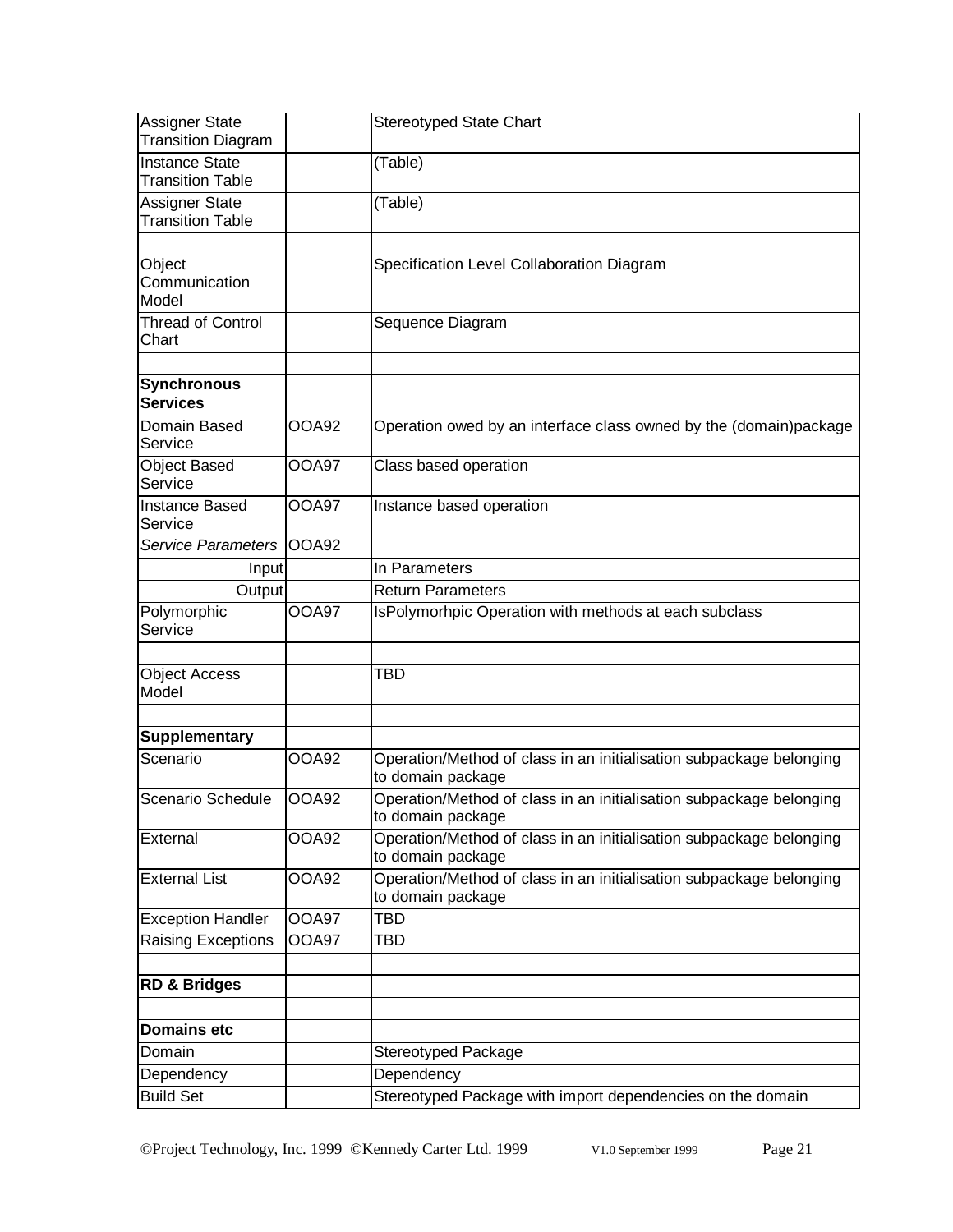| Assigner State<br><b>Transition Diagram</b>      |              | <b>Stereotyped State Chart</b>                                                           |
|--------------------------------------------------|--------------|------------------------------------------------------------------------------------------|
| <b>Instance State</b><br><b>Transition Table</b> |              | (Table)                                                                                  |
| Assigner State<br><b>Transition Table</b>        |              | (Table)                                                                                  |
| Object<br>Communication<br>Model                 |              | Specification Level Collaboration Diagram                                                |
| <b>Thread of Control</b><br>Chart                |              | Sequence Diagram                                                                         |
| <b>Synchronous</b><br><b>Services</b>            |              |                                                                                          |
| Domain Based<br>Service                          | <b>OOA92</b> | Operation owed by an interface class owned by the (domain)package                        |
| <b>Object Based</b><br>Service                   | <b>OOA97</b> | Class based operation                                                                    |
| Instance Based<br>Service                        | <b>OOA97</b> | Instance based operation                                                                 |
| <b>Service Parameters</b>                        | OOA92        |                                                                                          |
| Input                                            |              | In Parameters                                                                            |
| Output                                           |              | <b>Return Parameters</b>                                                                 |
| Polymorphic<br>Service                           | <b>OOA97</b> | IsPolymorhpic Operation with methods at each subclass                                    |
|                                                  |              |                                                                                          |
| <b>Object Access</b><br>Model                    |              | TBD                                                                                      |
|                                                  |              |                                                                                          |
| <b>Supplementary</b>                             |              |                                                                                          |
| Scenario                                         | <b>OOA92</b> | Operation/Method of class in an initialisation subpackage belonging<br>to domain package |
| Scenario Schedule                                | <b>OOA92</b> | Operation/Method of class in an initialisation subpackage belonging<br>to domain package |
| <b>External</b>                                  | <b>OOA92</b> | Operation/Method of class in an initialisation subpackage belonging<br>to domain package |
| <b>External List</b>                             | <b>OOA92</b> | Operation/Method of class in an initialisation subpackage belonging<br>to domain package |
| <b>Exception Handler</b>                         | OOA97        | <b>TBD</b>                                                                               |
| <b>Raising Exceptions</b>                        | OOA97        | TBD                                                                                      |
|                                                  |              |                                                                                          |
| <b>RD &amp; Bridges</b>                          |              |                                                                                          |
|                                                  |              |                                                                                          |
| <b>Domains etc</b>                               |              |                                                                                          |
| Domain                                           |              | <b>Stereotyped Package</b>                                                               |
| Dependency                                       |              | Dependency                                                                               |
| <b>Build Set</b>                                 |              | Stereotyped Package with import dependencies on the domain                               |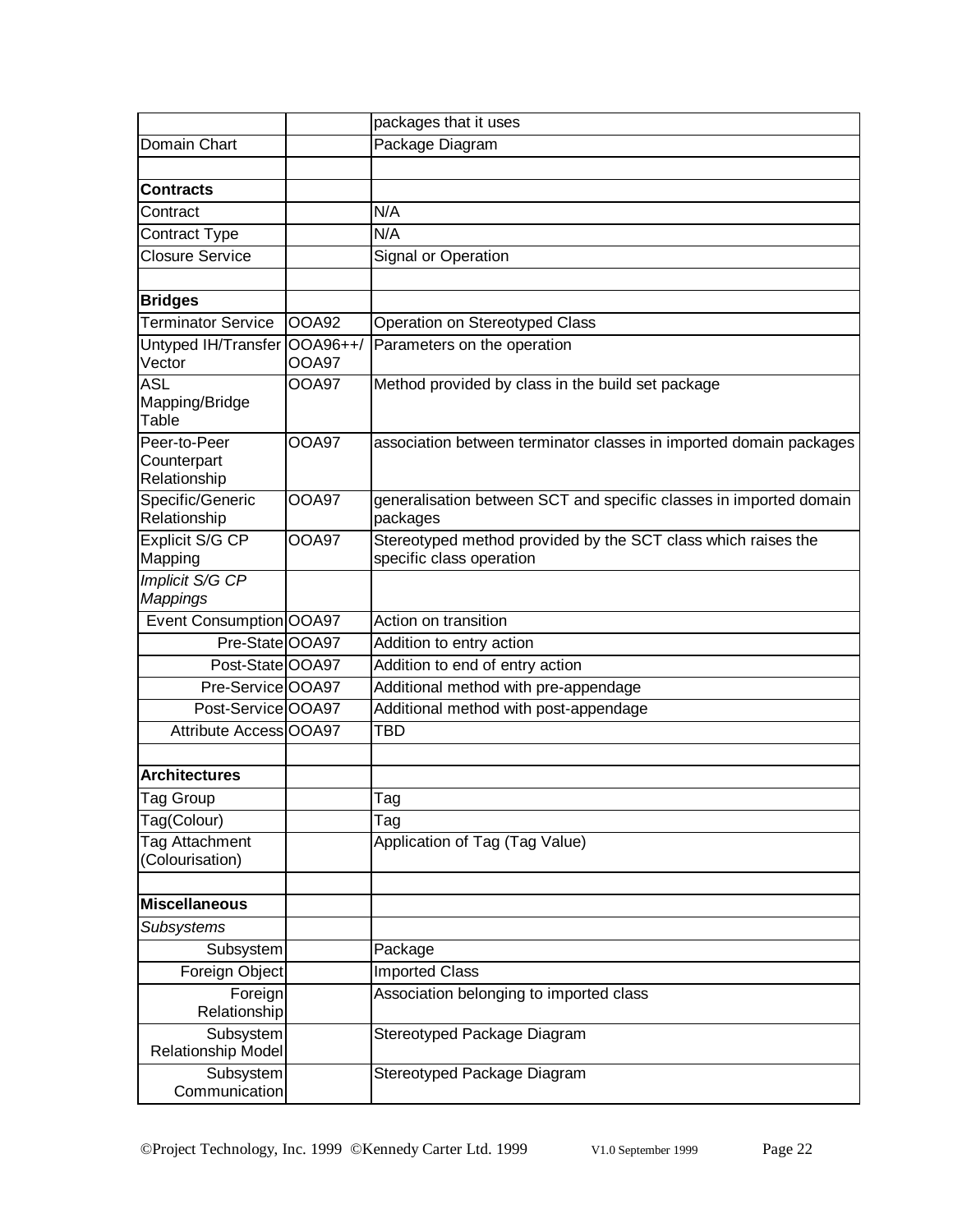|                                        |                          | packages that it uses                                                          |
|----------------------------------------|--------------------------|--------------------------------------------------------------------------------|
| Domain Chart                           |                          | Package Diagram                                                                |
|                                        |                          |                                                                                |
| <b>Contracts</b>                       |                          |                                                                                |
| Contract                               |                          | N/A                                                                            |
| Contract Type                          |                          | N/A                                                                            |
| <b>Closure Service</b>                 |                          | Signal or Operation                                                            |
|                                        |                          |                                                                                |
| <b>Bridges</b>                         |                          |                                                                                |
| <b>Terminator Service</b>              | OOA92                    | Operation on Stereotyped Class                                                 |
| Untyped IH/Transfer<br>Vector          | OOA96++/<br><b>OOA97</b> | Parameters on the operation                                                    |
| <b>ASL</b>                             | OOA97                    | Method provided by class in the build set package                              |
| Mapping/Bridge<br>Table                |                          |                                                                                |
| Peer-to-Peer<br>Counterpart            | <b>OOA97</b>             | association between terminator classes in imported domain packages             |
| Relationship                           |                          |                                                                                |
| Specific/Generic<br>Relationship       | <b>OOA97</b>             | generalisation between SCT and specific classes in imported domain<br>packages |
| Explicit S/G CP                        | <b>OOA97</b>             | Stereotyped method provided by the SCT class which raises the                  |
| Mapping                                |                          | specific class operation                                                       |
| Implicit S/G CP                        |                          |                                                                                |
| <b>Mappings</b>                        |                          |                                                                                |
| Event Consumption OOA97                |                          | Action on transition                                                           |
| Pre-State OOA97                        |                          | Addition to entry action                                                       |
| Post-State OOA97                       |                          | Addition to end of entry action                                                |
| Pre-Service OOA97                      |                          | Additional method with pre-appendage                                           |
| Post-Service OOA97                     |                          | Additional method with post-appendage                                          |
| Attribute Access OOA97                 |                          | <b>TBD</b>                                                                     |
|                                        |                          |                                                                                |
| <b>Architectures</b>                   |                          |                                                                                |
| Tag Group                              |                          | Tag                                                                            |
| Tag(Colour)                            |                          | Tag                                                                            |
| Tag Attachment<br>(Colourisation)      |                          | Application of Tag (Tag Value)                                                 |
|                                        |                          |                                                                                |
| <b>Miscellaneous</b>                   |                          |                                                                                |
| Subsystems                             |                          |                                                                                |
| Subsystem                              |                          | Package                                                                        |
| Foreign Object                         |                          | <b>Imported Class</b>                                                          |
| Foreign<br>Relationship                |                          | Association belonging to imported class                                        |
| Subsystem<br><b>Relationship Model</b> |                          | Stereotyped Package Diagram                                                    |
| Subsystem<br>Communication             |                          | Stereotyped Package Diagram                                                    |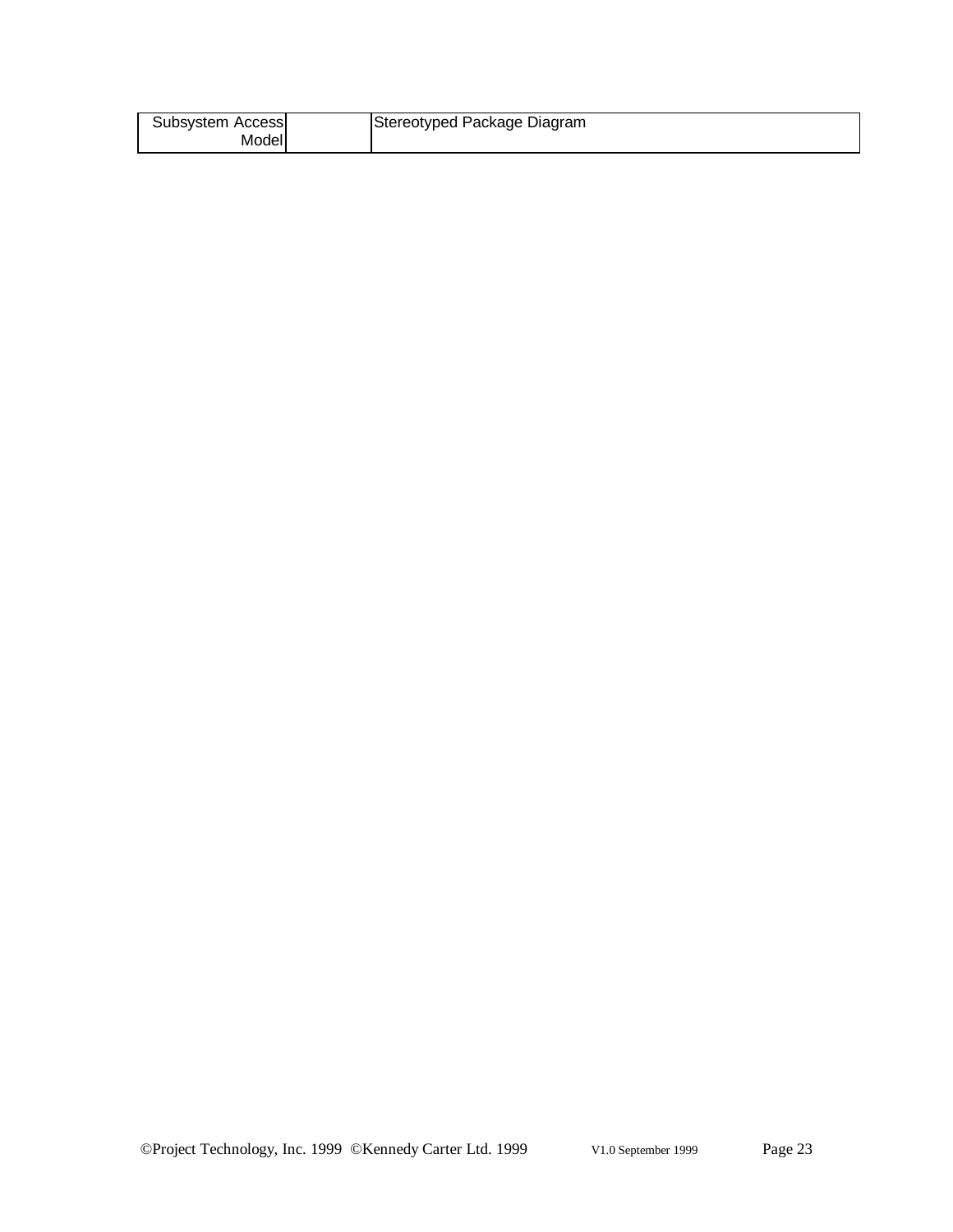| Subsystem Access | Stereotyped Package Diagram |
|------------------|-----------------------------|
| Model            |                             |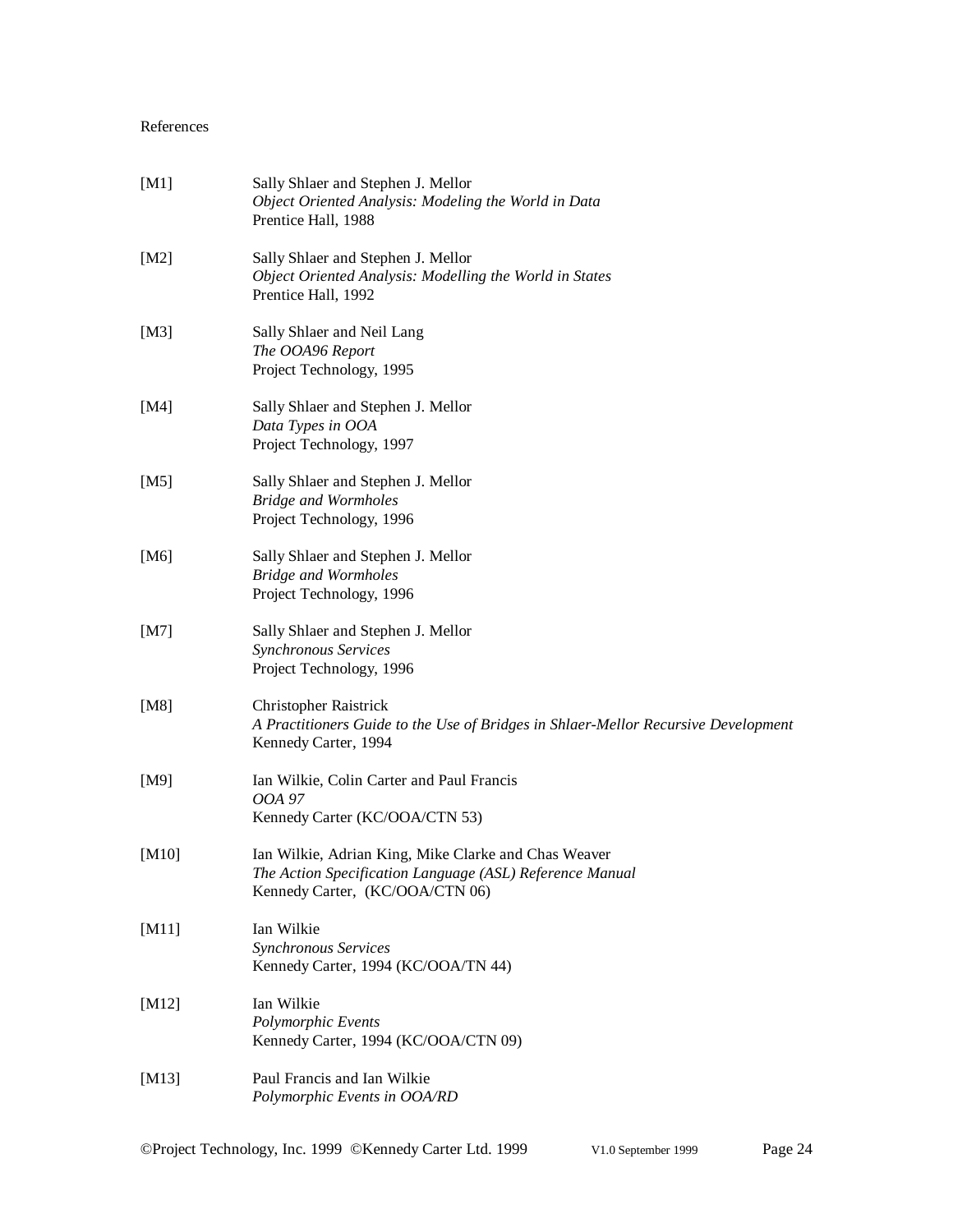### References

| [M1]      | Sally Shlaer and Stephen J. Mellor<br>Object Oriented Analysis: Modeling the World in Data<br>Prentice Hall, 1988                                   |
|-----------|-----------------------------------------------------------------------------------------------------------------------------------------------------|
| [ $M2$ ]  | Sally Shlaer and Stephen J. Mellor<br>Object Oriented Analysis: Modelling the World in States<br>Prentice Hall, 1992                                |
| [ $M3$ ]  | Sally Shlaer and Neil Lang<br>The OOA96 Report<br>Project Technology, 1995                                                                          |
| [M4]      | Sally Shlaer and Stephen J. Mellor<br>Data Types in OOA<br>Project Technology, 1997                                                                 |
| [M5]      | Sally Shlaer and Stephen J. Mellor<br><b>Bridge and Wormholes</b><br>Project Technology, 1996                                                       |
| [M6]      | Sally Shlaer and Stephen J. Mellor<br><b>Bridge and Wormholes</b><br>Project Technology, 1996                                                       |
| [M7]      | Sally Shlaer and Stephen J. Mellor<br>Synchronous Services<br>Project Technology, 1996                                                              |
| [M8]      | <b>Christopher Raistrick</b><br>A Practitioners Guide to the Use of Bridges in Shlaer-Mellor Recursive Development<br>Kennedy Carter, 1994          |
| [M9]      | Ian Wilkie, Colin Carter and Paul Francis<br>OOA 97<br>Kennedy Carter (KC/OOA/CTN 53)                                                               |
| [M10]     | Ian Wilkie, Adrian King, Mike Clarke and Chas Weaver<br>The Action Specification Language (ASL) Reference Manual<br>Kennedy Carter, (KC/OOA/CTN 06) |
| [ $M11$ ] | Ian Wilkie<br>Synchronous Services<br>Kennedy Carter, 1994 (KC/OOA/TN 44)                                                                           |
| [M12]     | Ian Wilkie<br>Polymorphic Events<br>Kennedy Carter, 1994 (KC/OOA/CTN 09)                                                                            |
| [M13]     | Paul Francis and Ian Wilkie<br>Polymorphic Events in OOA/RD                                                                                         |